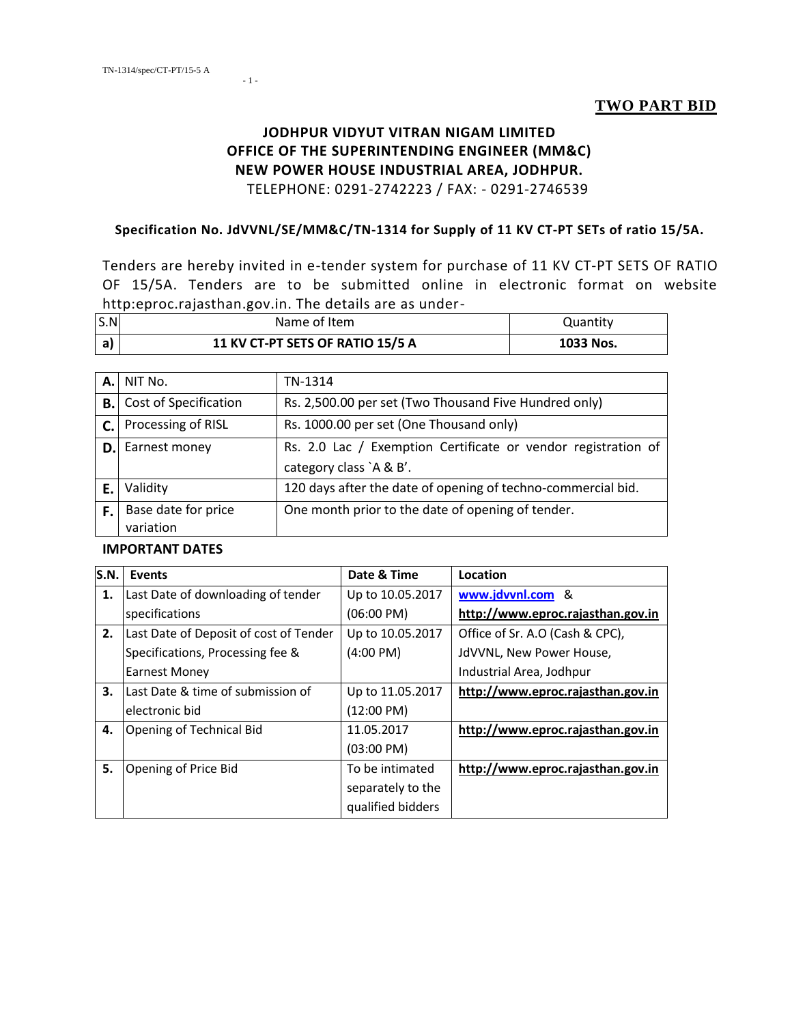- 1 -

#### **JODHPUR VIDYUT VITRAN NIGAM LIMITED OFFICE OF THE SUPERINTENDING ENGINEER (MM&C) NEW POWER HOUSE INDUSTRIAL AREA, JODHPUR.** TELEPHONE: 0291-2742223 / FAX: - 0291-2746539

#### **Specification No. JdVVNL/SE/MM&C/TN-1314 for Supply of 11 KV CT-PT SETs of ratio 15/5A.**

Tenders are hereby invited in e-tender system for purchase of 11 KV CT-PT SETS OF RATIO OF 15/5A. Tenders are to be submitted online in electronic format on website http:eproc.rajasthan.gov.in. The details are as under-

| S.N | Name of Item                     | Quantity  |
|-----|----------------------------------|-----------|
| a   | 11 KV CT-PT SETS OF RATIO 15/5 A | 1033 Nos. |

| А.  | NIT No.                      | TN-1314                                                       |
|-----|------------------------------|---------------------------------------------------------------|
| B.I | Cost of Specification        | Rs. 2,500.00 per set (Two Thousand Five Hundred only)         |
|     | <b>C.</b> Processing of RISL | Rs. 1000.00 per set (One Thousand only)                       |
| D.I | Earnest money                | Rs. 2.0 Lac / Exemption Certificate or vendor registration of |
|     |                              | category class `A & B'.                                       |
| Е.  | Validity                     | 120 days after the date of opening of techno-commercial bid.  |
| F.  | Base date for price          | One month prior to the date of opening of tender.             |
|     | variation                    |                                                               |

#### **IMPORTANT DATES**

| S.N. | <b>Events</b>                          | Date & Time          | Location                          |
|------|----------------------------------------|----------------------|-----------------------------------|
| 1.   | Last Date of downloading of tender     | Up to 10.05.2017     | www.jdvvnl.com &                  |
|      | specifications                         | $(06:00 \text{ PM})$ | http://www.eproc.rajasthan.gov.in |
| 2.   | Last Date of Deposit of cost of Tender | Up to 10.05.2017     | Office of Sr. A.O (Cash & CPC),   |
|      | Specifications, Processing fee &       | $(4:00 \text{ PM})$  | JdVVNL, New Power House,          |
|      | <b>Earnest Money</b>                   |                      | Industrial Area, Jodhpur          |
| 3.   | Last Date & time of submission of      | Up to 11.05.2017     | http://www.eproc.rajasthan.gov.in |
|      | electronic bid                         | $(12:00 \text{ PM})$ |                                   |
| 4.   | Opening of Technical Bid               | 11.05.2017           | http://www.eproc.rajasthan.gov.in |
|      |                                        | $(03:00 \text{ PM})$ |                                   |
| 5.   | Opening of Price Bid                   | To be intimated      | http://www.eproc.rajasthan.gov.in |
|      |                                        | separately to the    |                                   |
|      |                                        | qualified bidders    |                                   |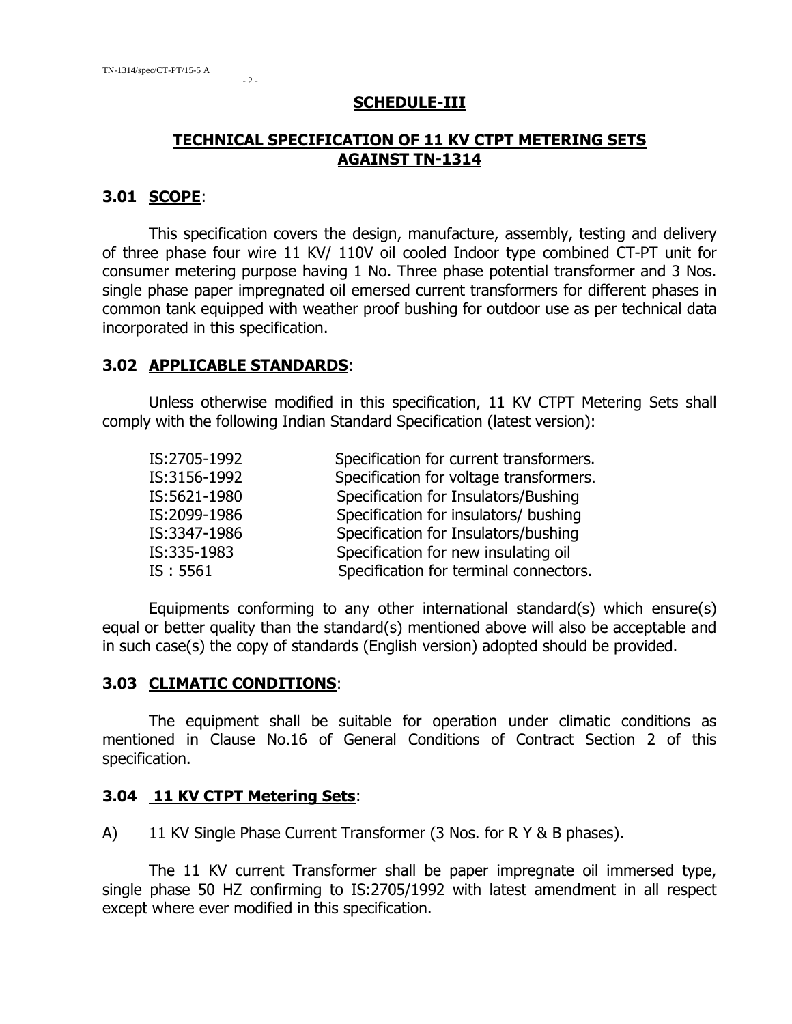#### **SCHEDULE-III**

## **TECHNICAL SPECIFICATION OF 11 KV CTPT METERING SETS AGAINST TN-1314**

#### **3.01 SCOPE**:

This specification covers the design, manufacture, assembly, testing and delivery of three phase four wire 11 KV/ 110V oil cooled Indoor type combined CT-PT unit for consumer metering purpose having 1 No. Three phase potential transformer and 3 Nos. single phase paper impregnated oil emersed current transformers for different phases in common tank equipped with weather proof bushing for outdoor use as per technical data incorporated in this specification.

#### **3.02 APPLICABLE STANDARDS**:

Unless otherwise modified in this specification, 11 KV CTPT Metering Sets shall comply with the following Indian Standard Specification (latest version):

| IS:2705-1992 | Specification for current transformers. |
|--------------|-----------------------------------------|
| IS:3156-1992 | Specification for voltage transformers. |
| IS:5621-1980 | Specification for Insulators/Bushing    |
| IS:2099-1986 | Specification for insulators/ bushing   |
| IS:3347-1986 | Specification for Insulators/bushing    |
| IS:335-1983  | Specification for new insulating oil    |
| IS: 5561     | Specification for terminal connectors.  |

Equipments conforming to any other international standard(s) which ensure(s) equal or better quality than the standard(s) mentioned above will also be acceptable and in such case(s) the copy of standards (English version) adopted should be provided.

#### **3.03 CLIMATIC CONDITIONS**:

The equipment shall be suitable for operation under climatic conditions as mentioned in Clause No.16 of General Conditions of Contract Section 2 of this specification.

#### **3.04 11 KV CTPT Metering Sets**:

A) 11 KV Single Phase Current Transformer (3 Nos. for R Y & B phases).

The 11 KV current Transformer shall be paper impregnate oil immersed type, single phase 50 HZ confirming to IS:2705/1992 with latest amendment in all respect except where ever modified in this specification.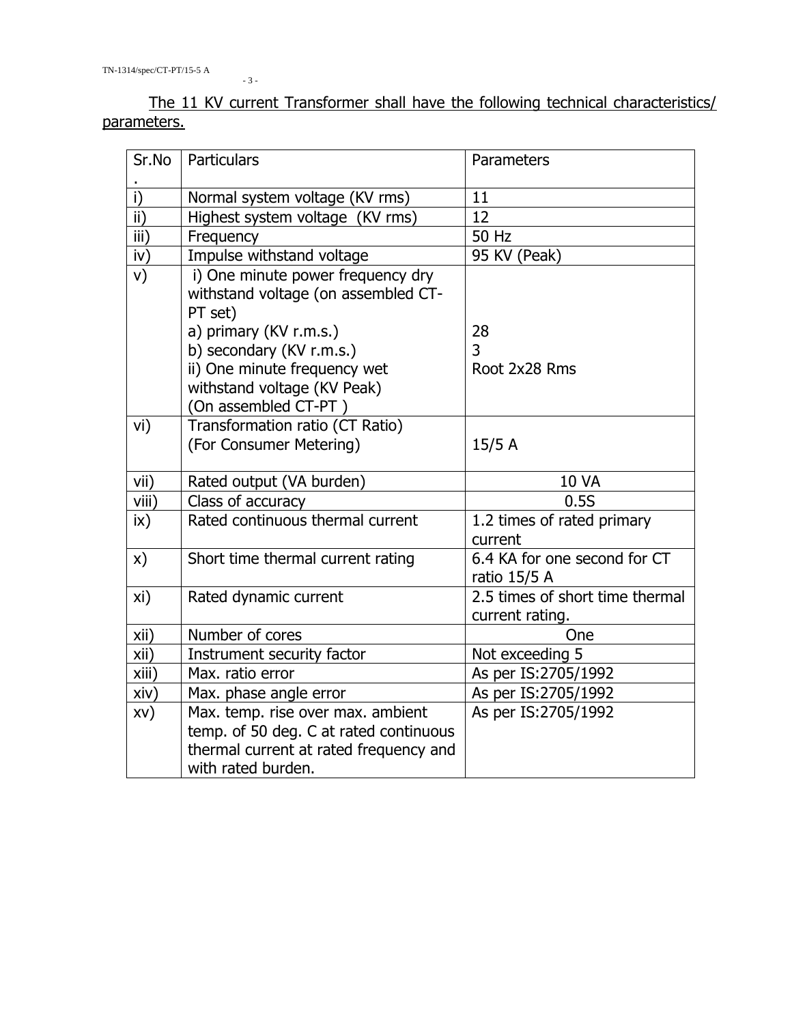- 3 -

The 11 KV current Transformer shall have the following technical characteristics/ parameters.

| Sr.No           | Particulars                                                                                                                                 | Parameters                                         |
|-----------------|---------------------------------------------------------------------------------------------------------------------------------------------|----------------------------------------------------|
|                 |                                                                                                                                             |                                                    |
| i)              | Normal system voltage (KV rms)                                                                                                              | 11                                                 |
| $\overline{ii}$ | Highest system voltage (KV rms)                                                                                                             | 12                                                 |
| iii)            | Frequency                                                                                                                                   | 50 Hz                                              |
| iv)             | Impulse withstand voltage                                                                                                                   | 95 KV (Peak)                                       |
| V)              | i) One minute power frequency dry<br>withstand voltage (on assembled CT-<br>PT set)                                                         |                                                    |
|                 | a) primary (KV r.m.s.)                                                                                                                      | 28                                                 |
|                 | b) secondary (KV r.m.s.)                                                                                                                    | 3                                                  |
|                 | ii) One minute frequency wet<br>withstand voltage (KV Peak)<br>(On assembled CT-PT)                                                         | Root 2x28 Rms                                      |
| vi)             | Transformation ratio (CT Ratio)                                                                                                             |                                                    |
|                 | (For Consumer Metering)                                                                                                                     | 15/5A                                              |
| vii)            | Rated output (VA burden)                                                                                                                    | <b>10 VA</b>                                       |
| viii)           | Class of accuracy                                                                                                                           | 0.5S                                               |
| $\mathsf{ix}$   | Rated continuous thermal current                                                                                                            | 1.2 times of rated primary<br>current              |
| x)              | Short time thermal current rating                                                                                                           | 6.4 KA for one second for CT<br>ratio $15/5$ A     |
| xi)             | Rated dynamic current                                                                                                                       | 2.5 times of short time thermal<br>current rating. |
| xii)            | Number of cores                                                                                                                             | One                                                |
| xii)            | Instrument security factor                                                                                                                  | Not exceeding 5                                    |
| xiii)           | Max. ratio error                                                                                                                            | As per IS:2705/1992                                |
| xiv)            | Max. phase angle error                                                                                                                      | As per IS:2705/1992                                |
| XV)             | Max. temp. rise over max. ambient<br>temp. of 50 deg. C at rated continuous<br>thermal current at rated frequency and<br>with rated burden. | As per IS:2705/1992                                |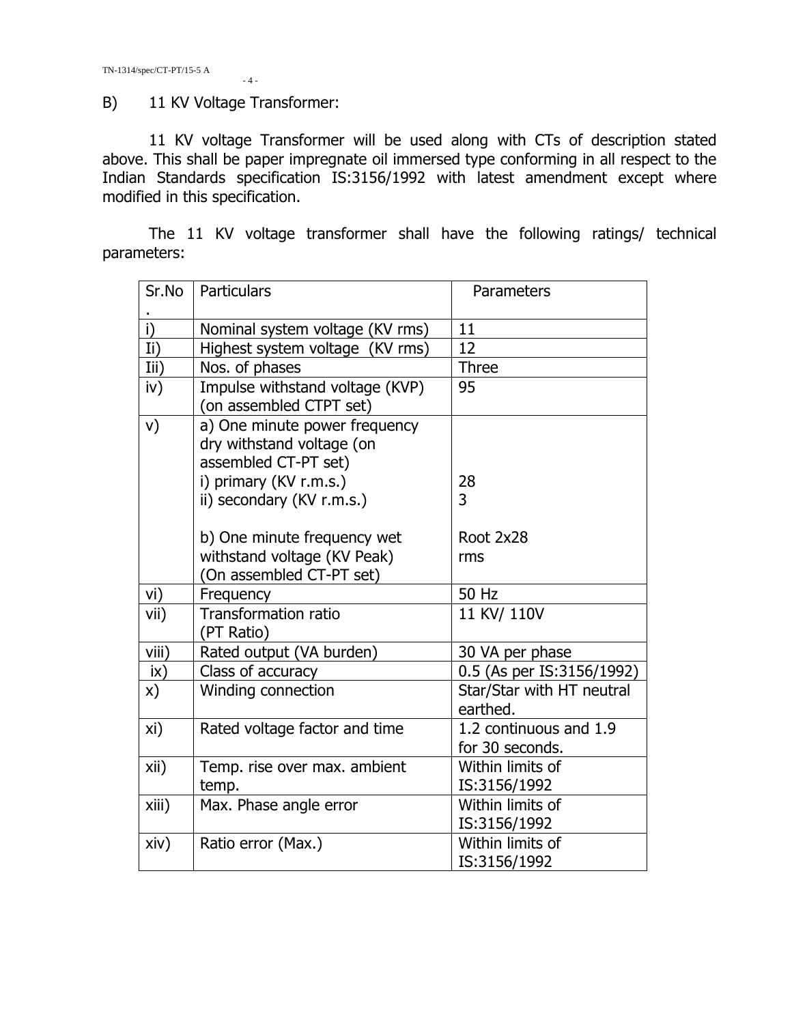$-4-$ 

#### B) 11 KV Voltage Transformer:

11 KV voltage Transformer will be used along with CTs of description stated above. This shall be paper impregnate oil immersed type conforming in all respect to the Indian Standards specification IS:3156/1992 with latest amendment except where modified in this specification.

The 11 KV voltage transformer shall have the following ratings/ technical parameters:

| Sr.No         | Particulars                                                                        | Parameters                                |
|---------------|------------------------------------------------------------------------------------|-------------------------------------------|
| i)            | Nominal system voltage (KV rms)                                                    | 11                                        |
| Ii)           | Highest system voltage (KV rms)                                                    | 12                                        |
| Iii)          | Nos. of phases                                                                     | <b>Three</b>                              |
| iv)           | Impulse withstand voltage (KVP)<br>(on assembled CTPT set)                         | 95                                        |
| V)            | a) One minute power frequency<br>dry withstand voltage (on<br>assembled CT-PT set) |                                           |
|               | i) primary (KV r.m.s.)                                                             | 28                                        |
|               | ii) secondary (KV r.m.s.)                                                          | 3                                         |
|               | b) One minute frequency wet<br>withstand voltage (KV Peak)                         | Root 2x28<br>rms                          |
|               | (On assembled CT-PT set)                                                           |                                           |
| vi)           | Frequency                                                                          | 50 Hz                                     |
| vii)          | <b>Transformation ratio</b><br>(PT Ratio)                                          | 11 KV/ 110V                               |
| viii)         | Rated output (VA burden)                                                           | 30 VA per phase                           |
| $i\mathsf{x}$ | Class of accuracy                                                                  | 0.5 (As per IS:3156/1992)                 |
| x)            | Winding connection                                                                 | Star/Star with HT neutral<br>earthed.     |
| xi)           | Rated voltage factor and time                                                      | 1.2 continuous and 1.9<br>for 30 seconds. |
| xii)          | Temp. rise over max. ambient<br>temp.                                              | Within limits of<br>IS:3156/1992          |
| xiii)         | Max. Phase angle error                                                             | Within limits of<br>IS:3156/1992          |
| xiv)          | Ratio error (Max.)                                                                 | Within limits of<br>IS:3156/1992          |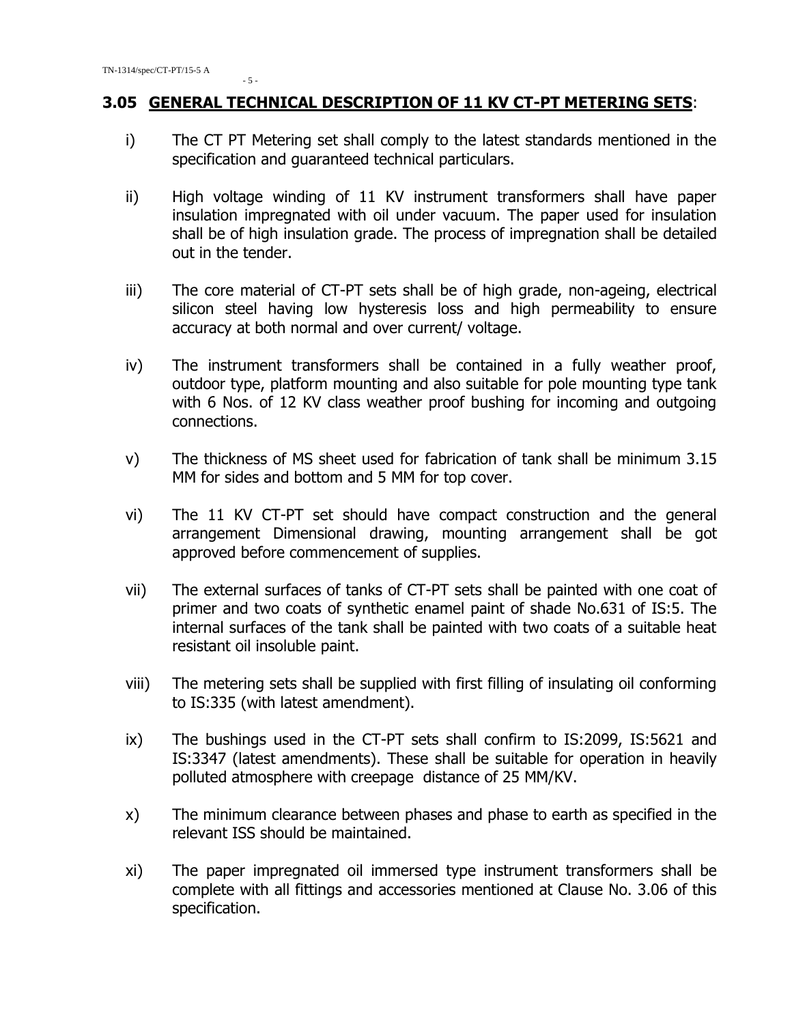#### **3.05 GENERAL TECHNICAL DESCRIPTION OF 11 KV CT-PT METERING SETS**:

- i) The CT PT Metering set shall comply to the latest standards mentioned in the specification and guaranteed technical particulars.
- ii) High voltage winding of 11 KV instrument transformers shall have paper insulation impregnated with oil under vacuum. The paper used for insulation shall be of high insulation grade. The process of impregnation shall be detailed out in the tender.
- iii) The core material of CT-PT sets shall be of high grade, non-ageing, electrical silicon steel having low hysteresis loss and high permeability to ensure accuracy at both normal and over current/ voltage.
- iv) The instrument transformers shall be contained in a fully weather proof, outdoor type, platform mounting and also suitable for pole mounting type tank with 6 Nos. of 12 KV class weather proof bushing for incoming and outgoing connections.
- v) The thickness of MS sheet used for fabrication of tank shall be minimum 3.15 MM for sides and bottom and 5 MM for top cover.
- vi) The 11 KV CT-PT set should have compact construction and the general arrangement Dimensional drawing, mounting arrangement shall be got approved before commencement of supplies.
- vii) The external surfaces of tanks of CT-PT sets shall be painted with one coat of primer and two coats of synthetic enamel paint of shade No.631 of IS:5. The internal surfaces of the tank shall be painted with two coats of a suitable heat resistant oil insoluble paint.
- viii) The metering sets shall be supplied with first filling of insulating oil conforming to IS:335 (with latest amendment).
- ix) The bushings used in the CT-PT sets shall confirm to IS:2099, IS:5621 and IS:3347 (latest amendments). These shall be suitable for operation in heavily polluted atmosphere with creepage distance of 25 MM/KV.
- x) The minimum clearance between phases and phase to earth as specified in the relevant ISS should be maintained.
- xi) The paper impregnated oil immersed type instrument transformers shall be complete with all fittings and accessories mentioned at Clause No. 3.06 of this specification.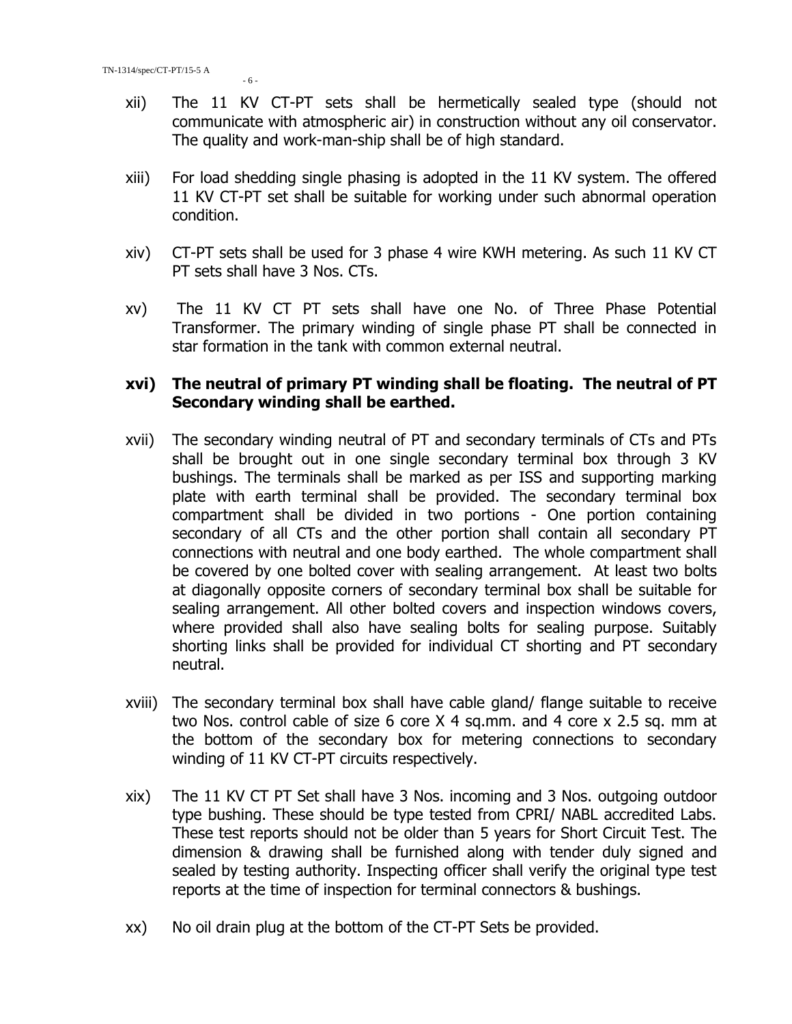- xii) The 11 KV CT-PT sets shall be hermetically sealed type (should not communicate with atmospheric air) in construction without any oil conservator. The quality and work-man-ship shall be of high standard.
- xiii) For load shedding single phasing is adopted in the 11 KV system. The offered 11 KV CT-PT set shall be suitable for working under such abnormal operation condition.
- xiv) CT-PT sets shall be used for 3 phase 4 wire KWH metering. As such 11 KV CT PT sets shall have 3 Nos. CTs.
- xv) The 11 KV CT PT sets shall have one No. of Three Phase Potential Transformer. The primary winding of single phase PT shall be connected in star formation in the tank with common external neutral.

#### **xvi) The neutral of primary PT winding shall be floating. The neutral of PT Secondary winding shall be earthed.**

- xvii) The secondary winding neutral of PT and secondary terminals of CTs and PTs shall be brought out in one single secondary terminal box through 3 KV bushings. The terminals shall be marked as per ISS and supporting marking plate with earth terminal shall be provided. The secondary terminal box compartment shall be divided in two portions - One portion containing secondary of all CTs and the other portion shall contain all secondary PT connections with neutral and one body earthed. The whole compartment shall be covered by one bolted cover with sealing arrangement. At least two bolts at diagonally opposite corners of secondary terminal box shall be suitable for sealing arrangement. All other bolted covers and inspection windows covers, where provided shall also have sealing bolts for sealing purpose. Suitably shorting links shall be provided for individual CT shorting and PT secondary neutral.
- xviii) The secondary terminal box shall have cable gland/ flange suitable to receive two Nos. control cable of size 6 core X 4 sq.mm. and 4 core x 2.5 sq. mm at the bottom of the secondary box for metering connections to secondary winding of 11 KV CT-PT circuits respectively.
- xix) The 11 KV CT PT Set shall have 3 Nos. incoming and 3 Nos. outgoing outdoor type bushing. These should be type tested from CPRI/ NABL accredited Labs. These test reports should not be older than 5 years for Short Circuit Test. The dimension & drawing shall be furnished along with tender duly signed and sealed by testing authority. Inspecting officer shall verify the original type test reports at the time of inspection for terminal connectors & bushings.
- xx) No oil drain plug at the bottom of the CT-PT Sets be provided.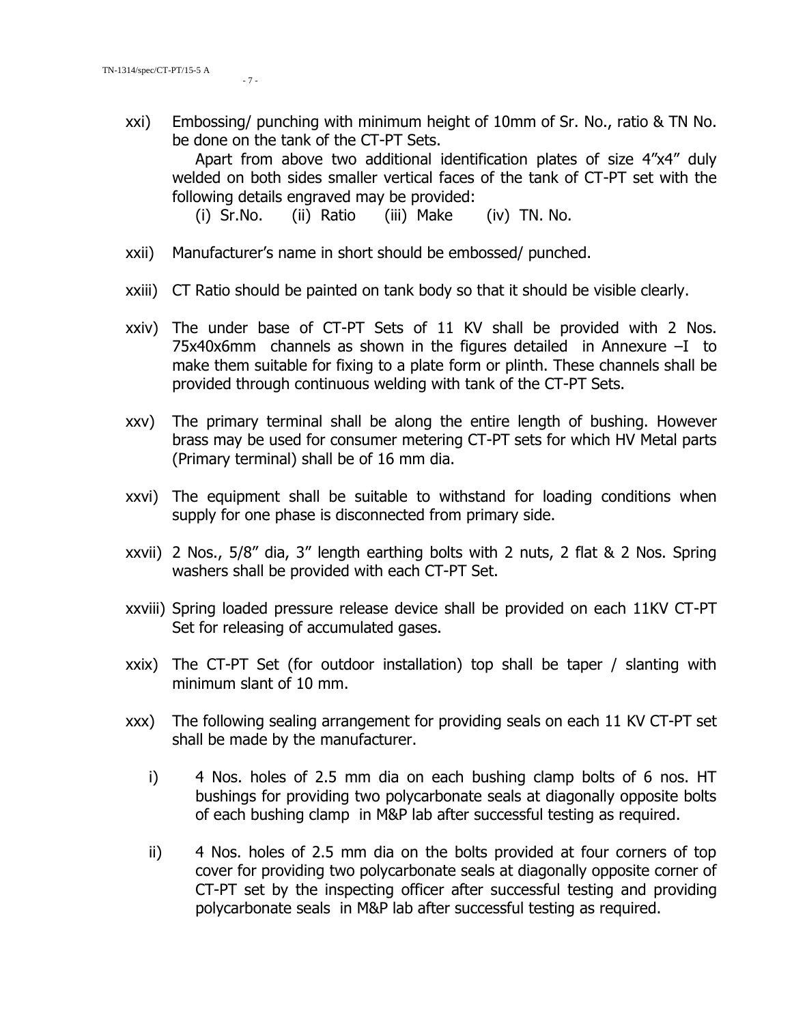xxi) Embossing/ punching with minimum height of 10mm of Sr. No., ratio & TN No. be done on the tank of the CT-PT Sets.

Apart from above two additional identification plates of size 4"x4" duly welded on both sides smaller vertical faces of the tank of CT-PT set with the following details engraved may be provided:

(i) Sr.No. (ii) Ratio (iii) Make (iv) TN. No.

- xxii) Manufacturer's name in short should be embossed/ punched.
- xxiii) CT Ratio should be painted on tank body so that it should be visible clearly.
- xxiv) The under base of CT-PT Sets of 11 KV shall be provided with 2 Nos.  $75x40x6mm$  channels as shown in the figures detailed in Annexure  $-I$  to make them suitable for fixing to a plate form or plinth. These channels shall be provided through continuous welding with tank of the CT-PT Sets.
- xxv) The primary terminal shall be along the entire length of bushing. However brass may be used for consumer metering CT-PT sets for which HV Metal parts (Primary terminal) shall be of 16 mm dia.
- xxvi) The equipment shall be suitable to withstand for loading conditions when supply for one phase is disconnected from primary side.
- xxvii) 2 Nos., 5/8" dia, 3" length earthing bolts with 2 nuts, 2 flat & 2 Nos. Spring washers shall be provided with each CT-PT Set.
- xxviii) Spring loaded pressure release device shall be provided on each 11KV CT-PT Set for releasing of accumulated gases.
- xxix) The CT-PT Set (for outdoor installation) top shall be taper / slanting with minimum slant of 10 mm.
- xxx) The following sealing arrangement for providing seals on each 11 KV CT-PT set shall be made by the manufacturer.
	- i) 4 Nos. holes of 2.5 mm dia on each bushing clamp bolts of 6 nos. HT bushings for providing two polycarbonate seals at diagonally opposite bolts of each bushing clamp in M&P lab after successful testing as required.
	- ii) 4 Nos. holes of 2.5 mm dia on the bolts provided at four corners of top cover for providing two polycarbonate seals at diagonally opposite corner of CT-PT set by the inspecting officer after successful testing and providing polycarbonate seals in M&P lab after successful testing as required.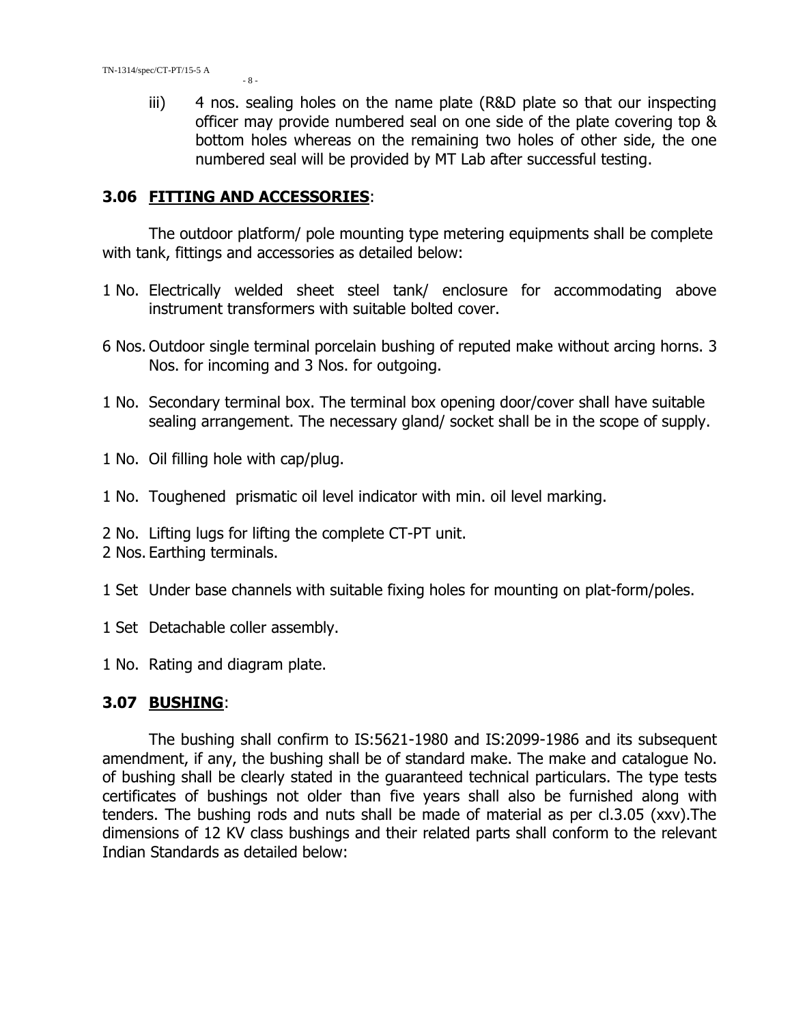iii) 4 nos. sealing holes on the name plate (R&D plate so that our inspecting officer may provide numbered seal on one side of the plate covering top & bottom holes whereas on the remaining two holes of other side, the one numbered seal will be provided by MT Lab after successful testing.

#### **3.06 FITTING AND ACCESSORIES**:

The outdoor platform/ pole mounting type metering equipments shall be complete with tank, fittings and accessories as detailed below:

- 1 No. Electrically welded sheet steel tank/ enclosure for accommodating above instrument transformers with suitable bolted cover.
- 6 Nos. Outdoor single terminal porcelain bushing of reputed make without arcing horns. 3 Nos. for incoming and 3 Nos. for outgoing.
- 1 No. Secondary terminal box. The terminal box opening door/cover shall have suitable sealing arrangement. The necessary gland/ socket shall be in the scope of supply.
- 1 No. Oil filling hole with cap/plug.
- 1 No. Toughened prismatic oil level indicator with min. oil level marking.
- 2 No. Lifting lugs for lifting the complete CT-PT unit.
- 2 Nos. Earthing terminals.
- 1 Set Under base channels with suitable fixing holes for mounting on plat-form/poles.
- 1 Set Detachable coller assembly.
- 1 No. Rating and diagram plate.

#### **3.07 BUSHING**:

The bushing shall confirm to IS:5621-1980 and IS:2099-1986 and its subsequent amendment, if any, the bushing shall be of standard make. The make and catalogue No. of bushing shall be clearly stated in the guaranteed technical particulars. The type tests certificates of bushings not older than five years shall also be furnished along with tenders. The bushing rods and nuts shall be made of material as per cl.3.05 (xxv).The dimensions of 12 KV class bushings and their related parts shall conform to the relevant Indian Standards as detailed below: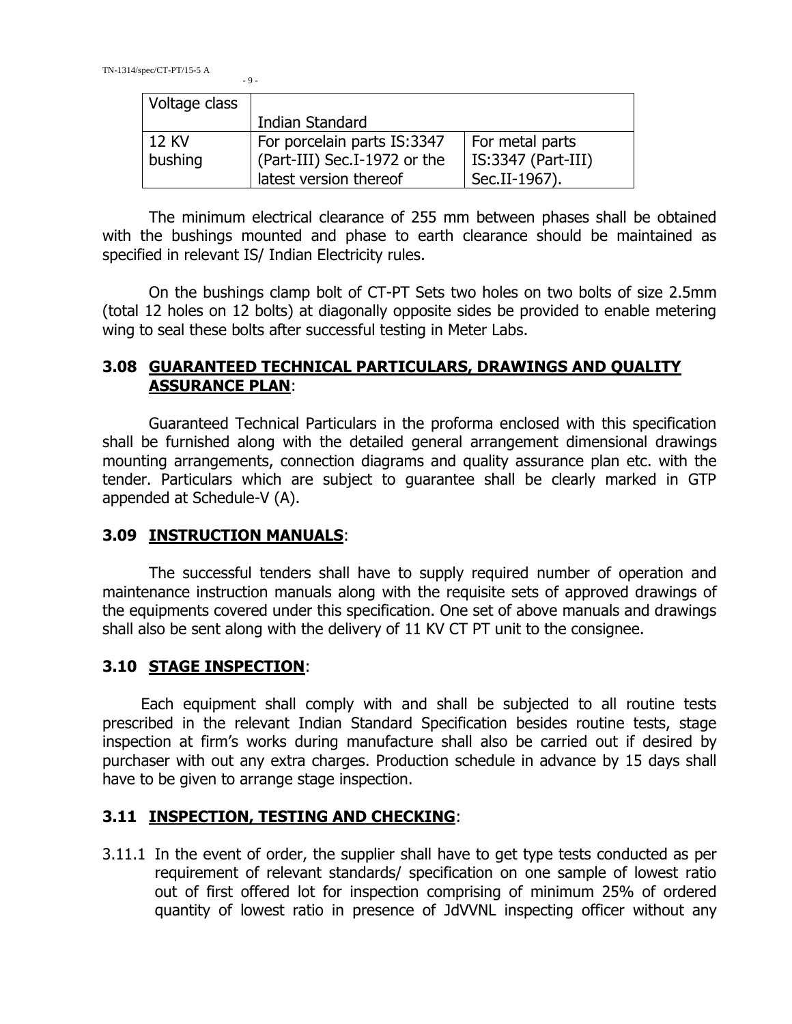| Voltage class |                              |                      |  |
|---------------|------------------------------|----------------------|--|
|               | Indian Standard              |                      |  |
| 12 KV         | For porcelain parts IS:3347  | For metal parts      |  |
| bushing       | (Part-III) Sec.I-1972 or the | $IS:3347$ (Part-III) |  |
|               | latest version thereof       | Sec.II-1967).        |  |

The minimum electrical clearance of 255 mm between phases shall be obtained with the bushings mounted and phase to earth clearance should be maintained as specified in relevant IS/ Indian Electricity rules.

On the bushings clamp bolt of CT-PT Sets two holes on two bolts of size 2.5mm (total 12 holes on 12 bolts) at diagonally opposite sides be provided to enable metering wing to seal these bolts after successful testing in Meter Labs.

## **3.08 GUARANTEED TECHNICAL PARTICULARS, DRAWINGS AND QUALITY ASSURANCE PLAN**:

Guaranteed Technical Particulars in the proforma enclosed with this specification shall be furnished along with the detailed general arrangement dimensional drawings mounting arrangements, connection diagrams and quality assurance plan etc. with the tender. Particulars which are subject to guarantee shall be clearly marked in GTP appended at Schedule-V (A).

## **3.09 INSTRUCTION MANUALS**:

The successful tenders shall have to supply required number of operation and maintenance instruction manuals along with the requisite sets of approved drawings of the equipments covered under this specification. One set of above manuals and drawings shall also be sent along with the delivery of 11 KV CT PT unit to the consignee.

## **3.10 STAGE INSPECTION**:

 Each equipment shall comply with and shall be subjected to all routine tests prescribed in the relevant Indian Standard Specification besides routine tests, stage inspection at firm's works during manufacture shall also be carried out if desired by purchaser with out any extra charges. Production schedule in advance by 15 days shall have to be given to arrange stage inspection.

#### **3.11 INSPECTION, TESTING AND CHECKING**:

3.11.1 In the event of order, the supplier shall have to get type tests conducted as per requirement of relevant standards/ specification on one sample of lowest ratio out of first offered lot for inspection comprising of minimum 25% of ordered quantity of lowest ratio in presence of JdVVNL inspecting officer without any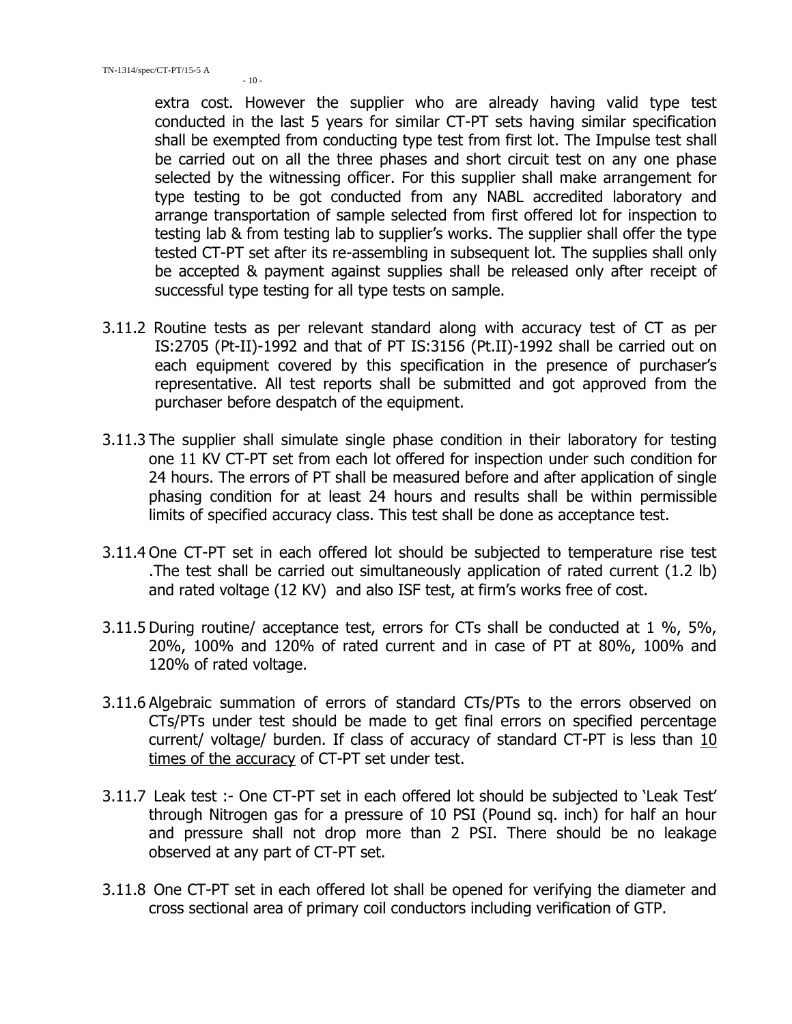$-10-$ 

extra cost. However the supplier who are already having valid type test conducted in the last 5 years for similar CT-PT sets having similar specification shall be exempted from conducting type test from first lot. The Impulse test shall be carried out on all the three phases and short circuit test on any one phase selected by the witnessing officer. For this supplier shall make arrangement for type testing to be got conducted from any NABL accredited laboratory and arrange transportation of sample selected from first offered lot for inspection to testing lab & from testing lab to supplier's works. The supplier shall offer the type tested CT-PT set after its re-assembling in subsequent lot. The supplies shall only be accepted & payment against supplies shall be released only after receipt of successful type testing for all type tests on sample.

- 3.11.2 Routine tests as per relevant standard along with accuracy test of CT as per IS:2705 (Pt-II)-1992 and that of PT IS:3156 (Pt.II)-1992 shall be carried out on each equipment covered by this specification in the presence of purchaser's representative. All test reports shall be submitted and got approved from the purchaser before despatch of the equipment.
- 3.11.3 The supplier shall simulate single phase condition in their laboratory for testing one 11 KV CT-PT set from each lot offered for inspection under such condition for 24 hours. The errors of PT shall be measured before and after application of single phasing condition for at least 24 hours and results shall be within permissible limits of specified accuracy class. This test shall be done as acceptance test.
- 3.11.4 One CT-PT set in each offered lot should be subjected to temperature rise test .The test shall be carried out simultaneously application of rated current (1.2 lb) and rated voltage (12 KV) and also ISF test, at firm's works free of cost.
- 3.11.5 During routine/ acceptance test, errors for CTs shall be conducted at 1 %, 5%, 20%, 100% and 120% of rated current and in case of PT at 80%, 100% and 120% of rated voltage.
- 3.11.6 Algebraic summation of errors of standard CTs/PTs to the errors observed on CTs/PTs under test should be made to get final errors on specified percentage current/ voltage/ burden. If class of accuracy of standard CT-PT is less than 10 times of the accuracy of CT-PT set under test.
- 3.11.7 Leak test :- One CT-PT set in each offered lot should be subjected to 'Leak Test' through Nitrogen gas for a pressure of 10 PSI (Pound sq. inch) for half an hour and pressure shall not drop more than 2 PSI. There should be no leakage observed at any part of CT-PT set.
- 3.11.8 One CT-PT set in each offered lot shall be opened for verifying the diameter and cross sectional area of primary coil conductors including verification of GTP.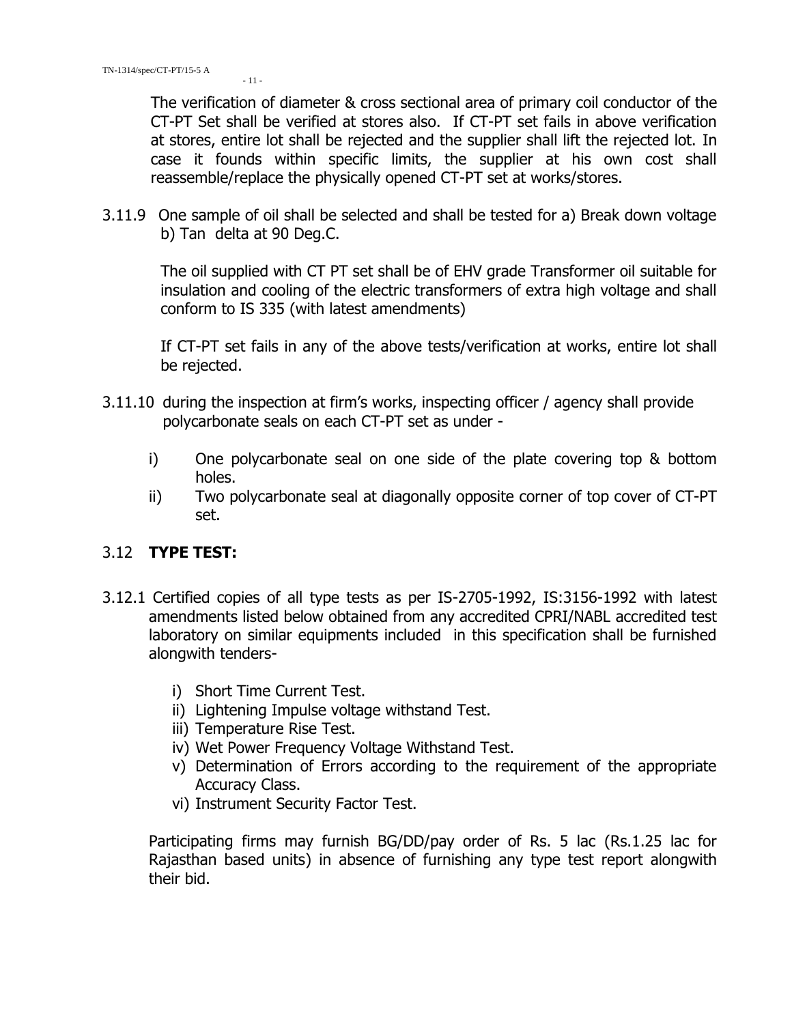The verification of diameter & cross sectional area of primary coil conductor of the CT-PT Set shall be verified at stores also. If CT-PT set fails in above verification at stores, entire lot shall be rejected and the supplier shall lift the rejected lot. In case it founds within specific limits, the supplier at his own cost shall reassemble/replace the physically opened CT-PT set at works/stores.

3.11.9 One sample of oil shall be selected and shall be tested for a) Break down voltage b) Tan delta at 90 Deg.C.

The oil supplied with CT PT set shall be of EHV grade Transformer oil suitable for insulation and cooling of the electric transformers of extra high voltage and shall conform to IS 335 (with latest amendments)

If CT-PT set fails in any of the above tests/verification at works, entire lot shall be rejected.

- 3.11.10 during the inspection at firm's works, inspecting officer / agency shall provide polycarbonate seals on each CT-PT set as under
	- i) One polycarbonate seal on one side of the plate covering top & bottom holes.
	- ii) Two polycarbonate seal at diagonally opposite corner of top cover of CT-PT set.

## 3.12 **TYPE TEST:**

- 3.12.1 Certified copies of all type tests as per IS-2705-1992, IS:3156-1992 with latest amendments listed below obtained from any accredited CPRI/NABL accredited test laboratory on similar equipments included in this specification shall be furnished alongwith tenders
	- i) Short Time Current Test.
	- ii) Lightening Impulse voltage withstand Test.
	- iii) Temperature Rise Test.
	- iv) Wet Power Frequency Voltage Withstand Test.
	- v) Determination of Errors according to the requirement of the appropriate Accuracy Class.
	- vi) Instrument Security Factor Test.

Participating firms may furnish BG/DD/pay order of Rs. 5 lac (Rs.1.25 lac for Rajasthan based units) in absence of furnishing any type test report alongwith their bid.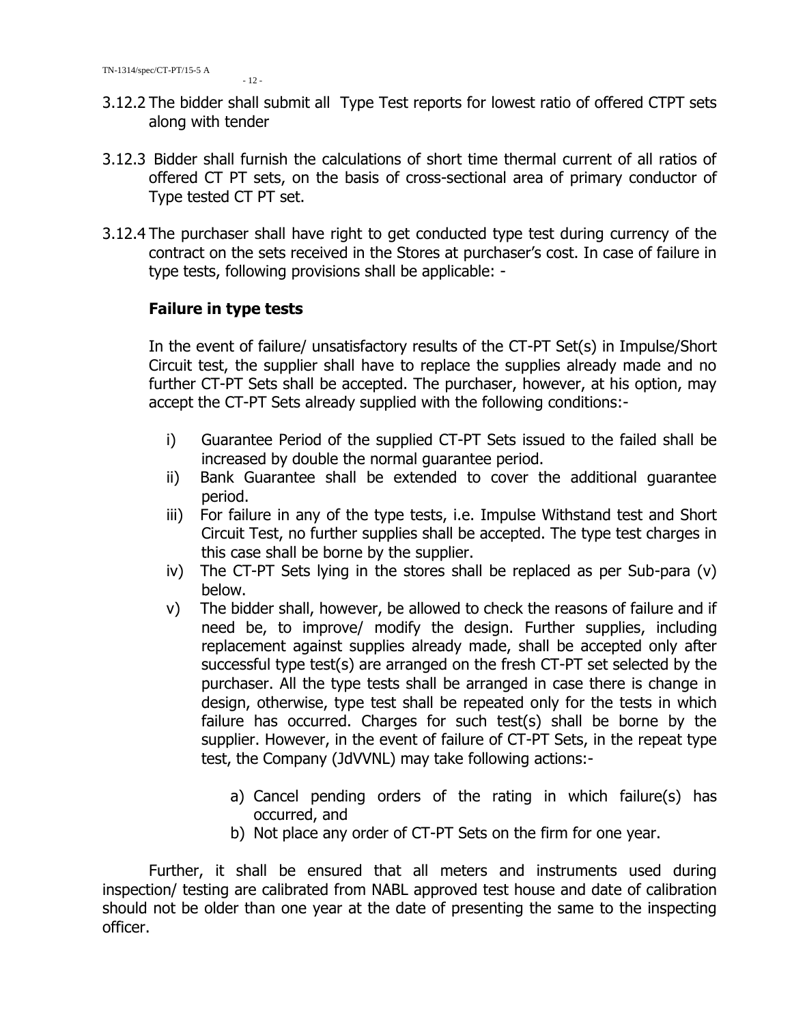- 3.12.2 The bidder shall submit all Type Test reports for lowest ratio of offered CTPT sets along with tender
- 3.12.3 Bidder shall furnish the calculations of short time thermal current of all ratios of offered CT PT sets, on the basis of cross-sectional area of primary conductor of Type tested CT PT set.
- 3.12.4 The purchaser shall have right to get conducted type test during currency of the contract on the sets received in the Stores at purchaser's cost. In case of failure in type tests, following provisions shall be applicable: -

#### **Failure in type tests**

In the event of failure/ unsatisfactory results of the CT-PT Set(s) in Impulse/Short Circuit test, the supplier shall have to replace the supplies already made and no further CT-PT Sets shall be accepted. The purchaser, however, at his option, may accept the CT-PT Sets already supplied with the following conditions:-

- i) Guarantee Period of the supplied CT-PT Sets issued to the failed shall be increased by double the normal guarantee period.
- ii) Bank Guarantee shall be extended to cover the additional guarantee period.
- iii) For failure in any of the type tests, i.e. Impulse Withstand test and Short Circuit Test, no further supplies shall be accepted. The type test charges in this case shall be borne by the supplier.
- iv) The CT-PT Sets lying in the stores shall be replaced as per Sub-para (v) below.
- v) The bidder shall, however, be allowed to check the reasons of failure and if need be, to improve/ modify the design. Further supplies, including replacement against supplies already made, shall be accepted only after successful type test(s) are arranged on the fresh CT-PT set selected by the purchaser. All the type tests shall be arranged in case there is change in design, otherwise, type test shall be repeated only for the tests in which failure has occurred. Charges for such test(s) shall be borne by the supplier. However, in the event of failure of CT-PT Sets, in the repeat type test, the Company (JdVVNL) may take following actions:
	- a) Cancel pending orders of the rating in which failure(s) has occurred, and
	- b) Not place any order of CT-PT Sets on the firm for one year.

Further, it shall be ensured that all meters and instruments used during inspection/ testing are calibrated from NABL approved test house and date of calibration should not be older than one year at the date of presenting the same to the inspecting officer.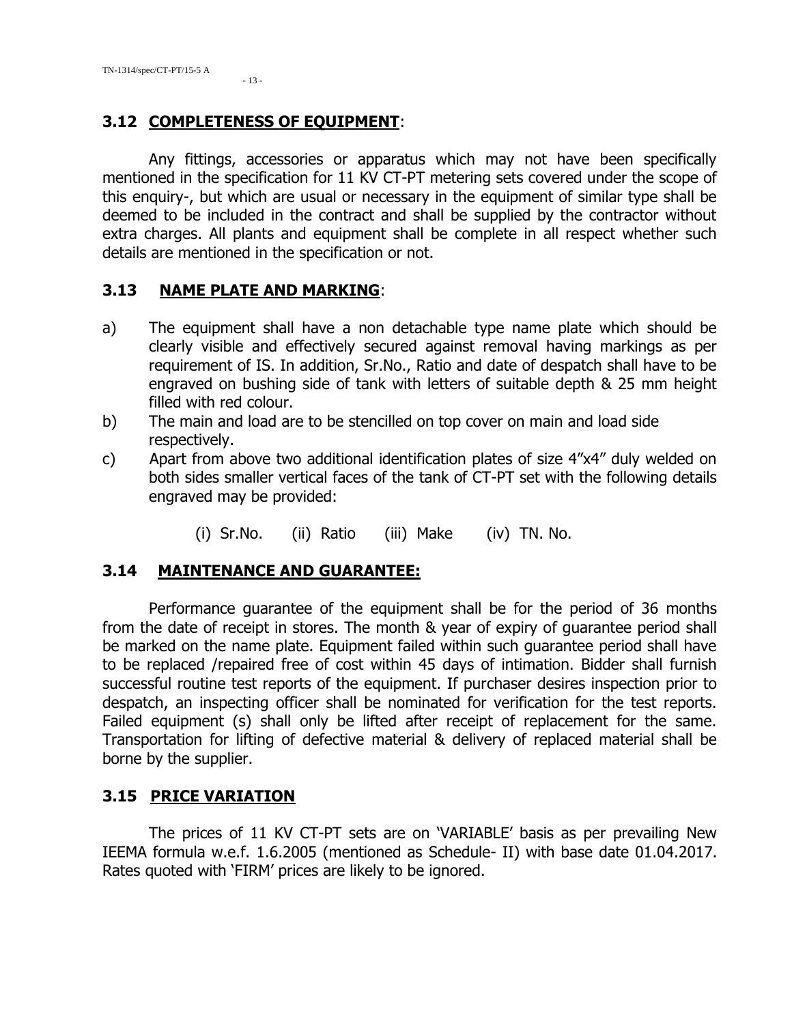TN-1314/spec/CT-PT/15-5 A  $-13 -$ 

## **3.12 COMPLETENESS OF EQUIPMENT**:

Any fittings, accessories or apparatus which may not have been specifically mentioned in the specification for 11 KV CT-PT metering sets covered under the scope of this enquiry-, but which are usual or necessary in the equipment of similar type shall be deemed to be included in the contract and shall be supplied by the contractor without extra charges. All plants and equipment shall be complete in all respect whether such details are mentioned in the specification or not.

## **3.13 NAME PLATE AND MARKING**:

- a) The equipment shall have a non detachable type name plate which should be clearly visible and effectively secured against removal having markings as per requirement of IS. In addition, Sr.No., Ratio and date of despatch shall have to be engraved on bushing side of tank with letters of suitable depth & 25 mm height filled with red colour.
- b) The main and load are to be stencilled on top cover on main and load side respectively.
- c) Apart from above two additional identification plates of size 4"x4" duly welded on both sides smaller vertical faces of the tank of CT-PT set with the following details engraved may be provided:
	- (i) Sr.No. (ii) Ratio (iii) Make (iv) TN. No.

## **3.14 MAINTENANCE AND GUARANTEE:**

Performance guarantee of the equipment shall be for the period of 36 months from the date of receipt in stores. The month & year of expiry of guarantee period shall be marked on the name plate. Equipment failed within such guarantee period shall have to be replaced /repaired free of cost within 45 days of intimation. Bidder shall furnish successful routine test reports of the equipment. If purchaser desires inspection prior to despatch, an inspecting officer shall be nominated for verification for the test reports. Failed equipment (s) shall only be lifted after receipt of replacement for the same. Transportation for lifting of defective material & delivery of replaced material shall be borne by the supplier.

## **3.15 PRICE VARIATION**

The prices of 11 KV CT-PT sets are on 'VARIABLE' basis as per prevailing New IEEMA formula w.e.f. 1.6.2005 (mentioned as Schedule- II) with base date 01.04.2017. Rates quoted with 'FIRM' prices are likely to be ignored.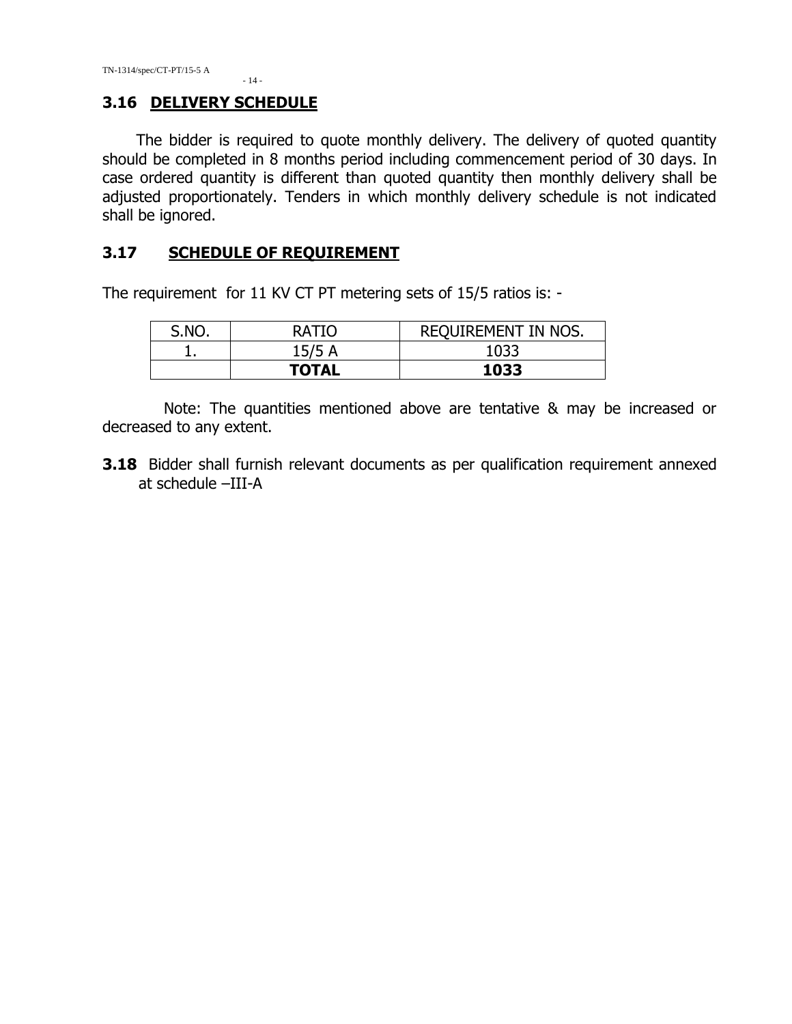#### **3.16 DELIVERY SCHEDULE**

 The bidder is required to quote monthly delivery. The delivery of quoted quantity should be completed in 8 months period including commencement period of 30 days. In case ordered quantity is different than quoted quantity then monthly delivery shall be adjusted proportionately. Tenders in which monthly delivery schedule is not indicated shall be ignored.

#### **3.17 SCHEDULE OF REQUIREMENT**

- 14 -

The requirement for 11 KV CT PT metering sets of 15/5 ratios is: -

| S.NO. | RATIO        | REQUIREMENT IN NOS. |
|-------|--------------|---------------------|
|       | 15/5A        | 1033                |
|       | <b>TOTAL</b> | 1033                |

Note: The quantities mentioned above are tentative & may be increased or decreased to any extent.

**3.18** Bidder shall furnish relevant documents as per qualification requirement annexed at schedule –III-A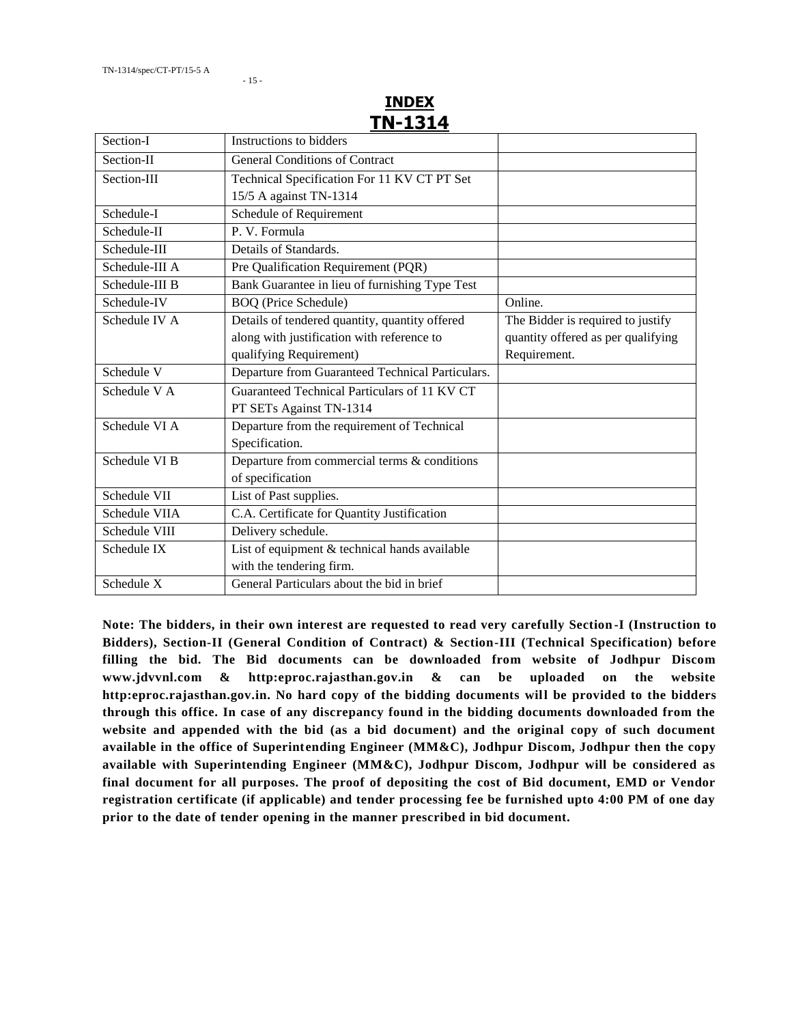#### **INDEX TN-1314**

| Section-I      | Instructions to bidders                          |                                    |
|----------------|--------------------------------------------------|------------------------------------|
| Section-II     | <b>General Conditions of Contract</b>            |                                    |
| Section-III    | Technical Specification For 11 KV CT PT Set      |                                    |
|                | 15/5 A against TN-1314                           |                                    |
| Schedule-I     | Schedule of Requirement                          |                                    |
| Schedule-II    | P. V. Formula                                    |                                    |
| Schedule-III   | Details of Standards.                            |                                    |
| Schedule-III A | Pre Qualification Requirement (PQR)              |                                    |
| Schedule-III B | Bank Guarantee in lieu of furnishing Type Test   |                                    |
| Schedule-IV    | <b>BOQ</b> (Price Schedule)                      | Online.                            |
| Schedule IV A  | Details of tendered quantity, quantity offered   | The Bidder is required to justify  |
|                | along with justification with reference to       | quantity offered as per qualifying |
|                | qualifying Requirement)                          | Requirement.                       |
| Schedule V     | Departure from Guaranteed Technical Particulars. |                                    |
| Schedule V A   | Guaranteed Technical Particulars of 11 KV CT     |                                    |
|                | PT SETs Against TN-1314                          |                                    |
| Schedule VI A  | Departure from the requirement of Technical      |                                    |
|                | Specification.                                   |                                    |
| Schedule VI B  | Departure from commercial terms & conditions     |                                    |
|                | of specification                                 |                                    |
| Schedule VII   | List of Past supplies.                           |                                    |
| Schedule VIIA  | C.A. Certificate for Quantity Justification      |                                    |
| Schedule VIII  | Delivery schedule.                               |                                    |
| Schedule IX    | List of equipment & technical hands available    |                                    |
|                | with the tendering firm.                         |                                    |
| Schedule X     | General Particulars about the bid in brief       |                                    |

**Note: The bidders, in their own interest are requested to read very carefully Section-I (Instruction to Bidders), Section-II (General Condition of Contract) & Section-III (Technical Specification) before filling the bid. The Bid documents can be downloaded from website of Jodhpur Discom www.jdvvnl.com & http:eproc.rajasthan.gov.in & can be uploaded on the website http:eproc.rajasthan.gov.in. No hard copy of the bidding documents will be provided to the bidders through this office. In case of any discrepancy found in the bidding documents downloaded from the website and appended with the bid (as a bid document) and the original copy of such document available in the office of Superintending Engineer (MM&C), Jodhpur Discom, Jodhpur then the copy available with Superintending Engineer (MM&C), Jodhpur Discom, Jodhpur will be considered as final document for all purposes. The proof of depositing the cost of Bid document, EMD or Vendor registration certificate (if applicable) and tender processing fee be furnished upto 4:00 PM of one day prior to the date of tender opening in the manner prescribed in bid document.**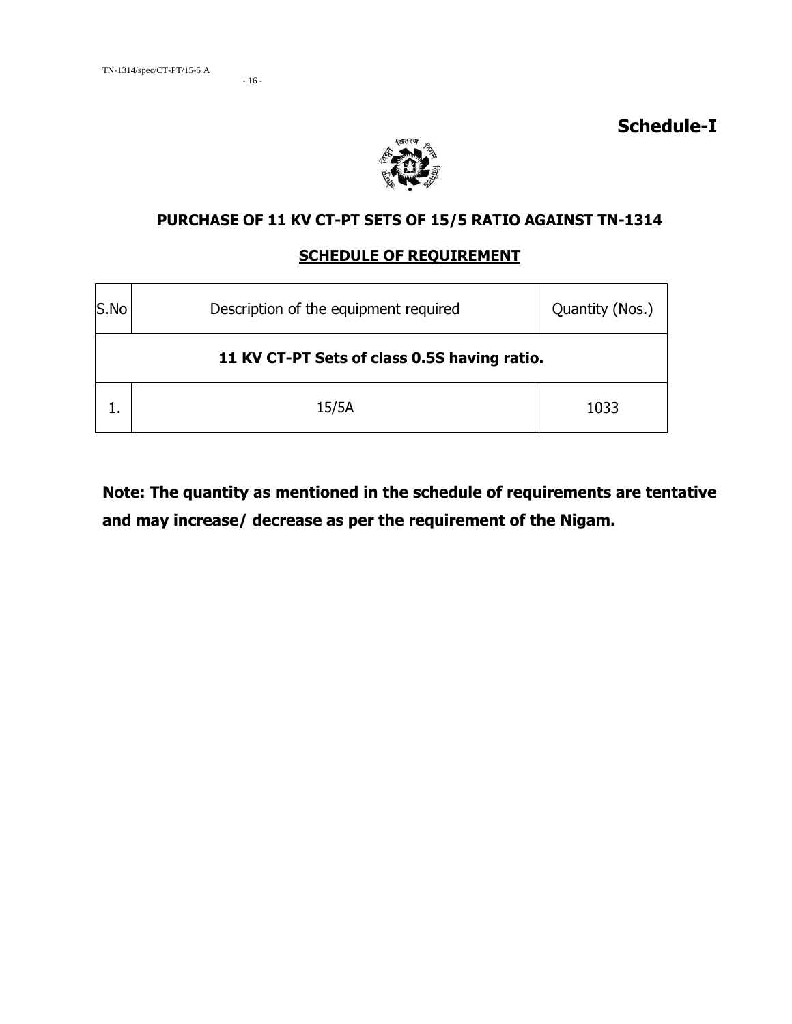- 16 -

**Schedule-I**



## **PURCHASE OF 11 KV CT-PT SETS OF 15/5 RATIO AGAINST TN-1314**

#### **SCHEDULE OF REQUIREMENT**

| S.No<br>Description of the equipment required |                                              | Quantity (Nos.) |  |  |
|-----------------------------------------------|----------------------------------------------|-----------------|--|--|
|                                               | 11 KV CT-PT Sets of class 0.5S having ratio. |                 |  |  |
|                                               | 15/5A                                        | 1033            |  |  |

**Note: The quantity as mentioned in the schedule of requirements are tentative and may increase/ decrease as per the requirement of the Nigam.**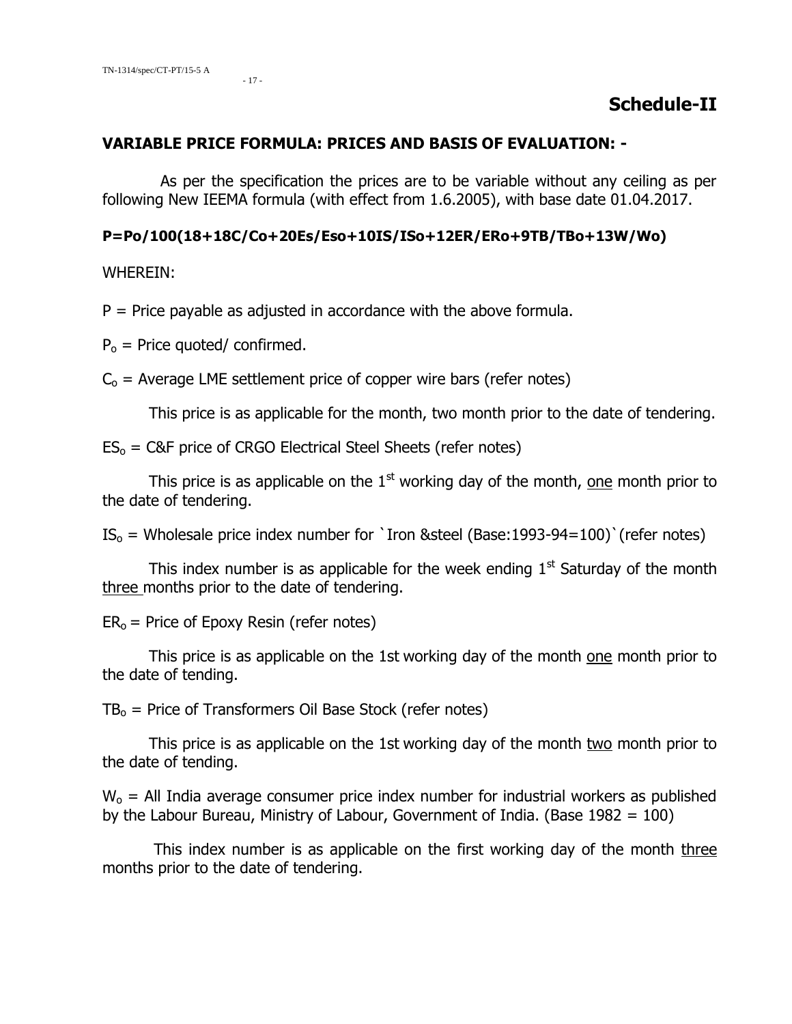#### **VARIABLE PRICE FORMULA: PRICES AND BASIS OF EVALUATION: -**

 As per the specification the prices are to be variable without any ceiling as per following New IEEMA formula (with effect from 1.6.2005), with base date 01.04.2017.

#### **P=Po/100(18+18C/Co+20Es/Eso+10IS/ISo+12ER/ERo+9TB/TBo+13W/Wo)**

#### WHEREIN:

 $P =$  Price payable as adjusted in accordance with the above formula.

 $P_0$  = Price quoted/ confirmed.

 $C<sub>o</sub>$  = Average LME settlement price of copper wire bars (refer notes)

This price is as applicable for the month, two month prior to the date of tendering.

 $ES<sub>o</sub> = C&F$  price of CRGO Electrical Steel Sheets (refer notes)

This price is as applicable on the  $1<sup>st</sup>$  working day of the month, one month prior to the date of tendering.

 $IS<sub>o</sub>$  = Wholesale price index number for `Iron &steel (Base:1993-94=100)` (refer notes)

This index number is as applicable for the week ending  $1<sup>st</sup>$  Saturday of the month three months prior to the date of tendering.

 $ER<sub>o</sub>$  = Price of Epoxy Resin (refer notes)

This price is as applicable on the 1st working day of the month one month prior to the date of tending.

 $TB<sub>o</sub>$  = Price of Transformers Oil Base Stock (refer notes)

This price is as applicable on the 1st working day of the month two month prior to the date of tending.

 $W_0$  = All India average consumer price index number for industrial workers as published by the Labour Bureau, Ministry of Labour, Government of India. (Base  $1982 = 100$ )

This index number is as applicable on the first working day of the month three months prior to the date of tendering.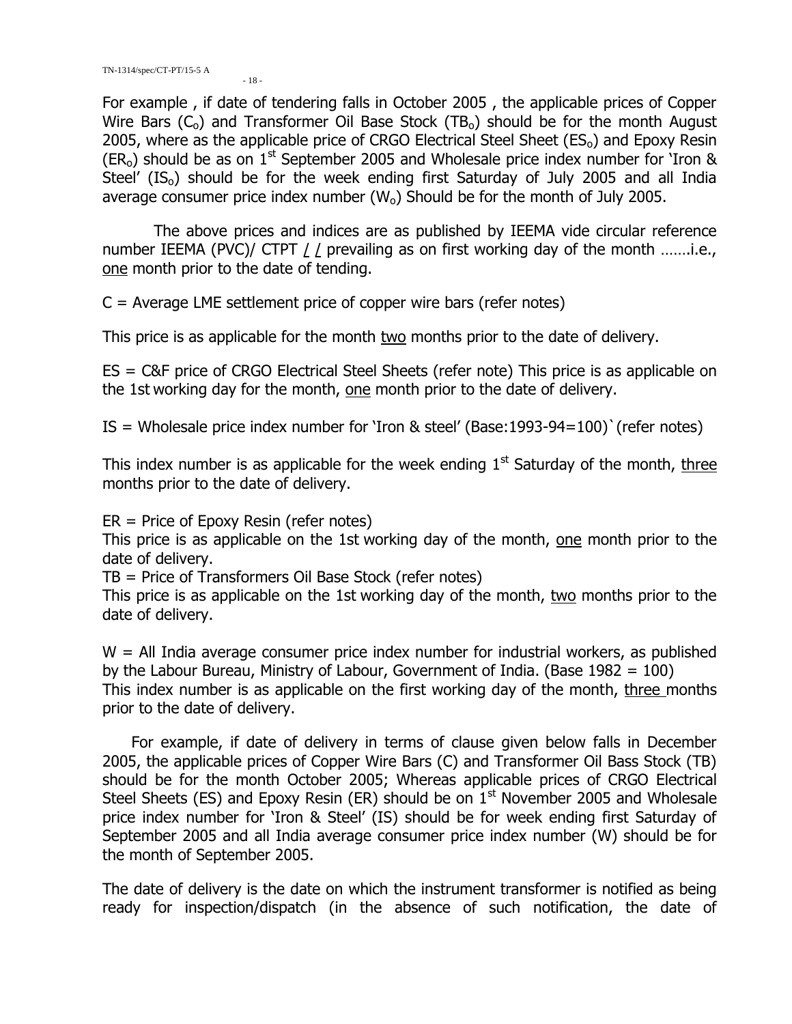$-18 -$ 

For example , if date of tendering falls in October 2005 , the applicable prices of Copper Wire Bars  $(C_0)$  and Transformer Oil Base Stock  $(TB_0)$  should be for the month August 2005, where as the applicable price of CRGO Electrical Steel Sheet  $(ES<sub>o</sub>)$  and Epoxy Resin  $(ER<sub>o</sub>)$  should be as on  $1<sup>st</sup>$  September 2005 and Wholesale price index number for 'Iron & Steel'  $(IS<sub>o</sub>)$  should be for the week ending first Saturday of July 2005 and all India average consumer price index number  $(W_0)$  Should be for the month of July 2005.

The above prices and indices are as published by IEEMA vide circular reference number IEEMA (PVC)/ CTPT / / prevailing as on first working day of the month .......i.e., one month prior to the date of tending.

 $C =$  Average LME settlement price of copper wire bars (refer notes)

This price is as applicable for the month two months prior to the date of delivery.

ES = C&F price of CRGO Electrical Steel Sheets (refer note) This price is as applicable on the 1st working day for the month, one month prior to the date of delivery.

IS = Wholesale price index number for 'Iron & steel' (Base:1993-94=100)`(refer notes)

This index number is as applicable for the week ending  $1<sup>st</sup>$  Saturday of the month, three months prior to the date of delivery.

ER = Price of Epoxy Resin (refer notes)

This price is as applicable on the 1st working day of the month, one month prior to the date of delivery.

TB = Price of Transformers Oil Base Stock (refer notes)

This price is as applicable on the 1st working day of the month, two months prior to the date of delivery.

 $W =$  All India average consumer price index number for industrial workers, as published by the Labour Bureau, Ministry of Labour, Government of India. (Base  $1982 = 100$ ) This index number is as applicable on the first working day of the month, three months prior to the date of delivery.

 For example, if date of delivery in terms of clause given below falls in December 2005, the applicable prices of Copper Wire Bars (C) and Transformer Oil Bass Stock (TB) should be for the month October 2005; Whereas applicable prices of CRGO Electrical Steel Sheets (ES) and Epoxy Resin (ER) should be on  $1<sup>st</sup>$  November 2005 and Wholesale price index number for 'Iron & Steel' (IS) should be for week ending first Saturday of September 2005 and all India average consumer price index number (W) should be for the month of September 2005.

The date of delivery is the date on which the instrument transformer is notified as being ready for inspection/dispatch (in the absence of such notification, the date of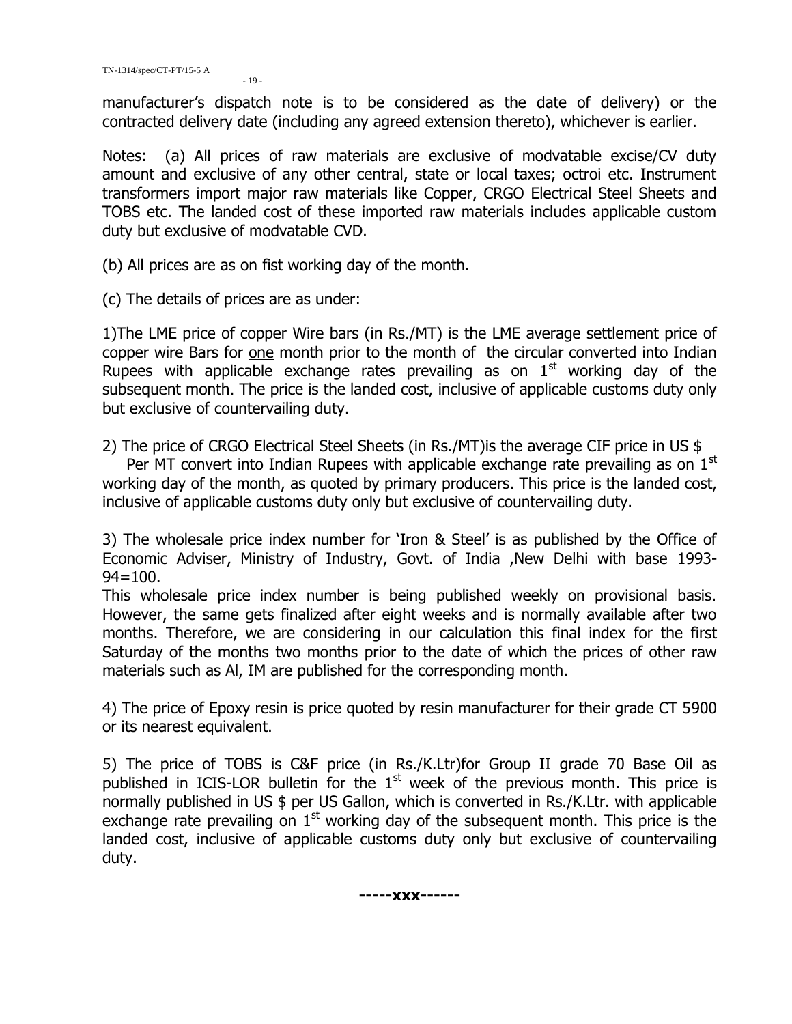manufacturer's dispatch note is to be considered as the date of delivery) or the contracted delivery date (including any agreed extension thereto), whichever is earlier.

Notes: (a) All prices of raw materials are exclusive of modvatable excise/CV duty amount and exclusive of any other central, state or local taxes; octroi etc. Instrument transformers import major raw materials like Copper, CRGO Electrical Steel Sheets and TOBS etc. The landed cost of these imported raw materials includes applicable custom duty but exclusive of modvatable CVD.

(b) All prices are as on fist working day of the month.

(c) The details of prices are as under:

1)The LME price of copper Wire bars (in Rs./MT) is the LME average settlement price of copper wire Bars for one month prior to the month of the circular converted into Indian Rupees with applicable exchange rates prevailing as on  $1<sup>st</sup>$  working day of the subsequent month. The price is the landed cost, inclusive of applicable customs duty only but exclusive of countervailing duty.

2) The price of CRGO Electrical Steel Sheets (in Rs./MT)is the average CIF price in US \$

Per MT convert into Indian Rupees with applicable exchange rate prevailing as on  $1<sup>st</sup>$ working day of the month, as quoted by primary producers. This price is the landed cost, inclusive of applicable customs duty only but exclusive of countervailing duty.

3) The wholesale price index number for 'Iron & Steel' is as published by the Office of Economic Adviser, Ministry of Industry, Govt. of India ,New Delhi with base 1993-  $94 = 100.$ 

This wholesale price index number is being published weekly on provisional basis. However, the same gets finalized after eight weeks and is normally available after two months. Therefore, we are considering in our calculation this final index for the first Saturday of the months two months prior to the date of which the prices of other raw materials such as Al, IM are published for the corresponding month.

4) The price of Epoxy resin is price quoted by resin manufacturer for their grade CT 5900 or its nearest equivalent.

5) The price of TOBS is C&F price (in Rs./K.Ltr)for Group II grade 70 Base Oil as published in ICIS-LOR bulletin for the  $1<sup>st</sup>$  week of the previous month. This price is normally published in US \$ per US Gallon, which is converted in Rs./K.Ltr. with applicable exchange rate prevailing on  $1<sup>st</sup>$  working day of the subsequent month. This price is the landed cost, inclusive of applicable customs duty only but exclusive of countervailing duty.

**-----xxx------**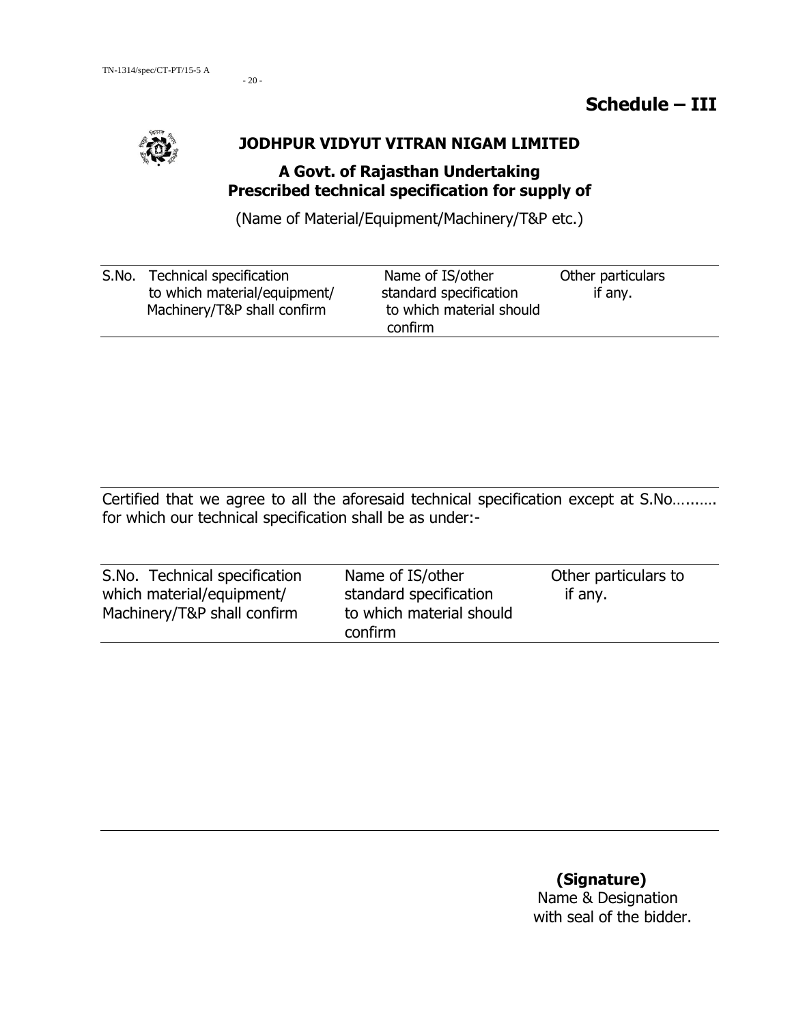- 20 -

#### **JODHPUR VIDYUT VITRAN NIGAM LIMITED**

## **A Govt. of Rajasthan Undertaking Prescribed technical specification for supply of**

(Name of Material/Equipment/Machinery/T&P etc.)

| S.No. | Technical specification      | Name of IS/other         | Other particulars |
|-------|------------------------------|--------------------------|-------------------|
|       | to which material/equipment/ | standard specification   | if any.           |
|       | Machinery/T&P shall confirm  | to which material should |                   |
|       |                              | confirm                  |                   |

Certified that we agree to all the aforesaid technical specification except at S.No…...…. for which our technical specification shall be as under:-

| S.No. Technical specification | Name of IS/other         | Other particulars to |
|-------------------------------|--------------------------|----------------------|
| which material/equipment/     | standard specification   | if any.              |
| Machinery/T&P shall confirm   | to which material should |                      |
|                               | confirm                  |                      |

## **(Signature)** Name & Designation with seal of the bidder.

## **Schedule – III**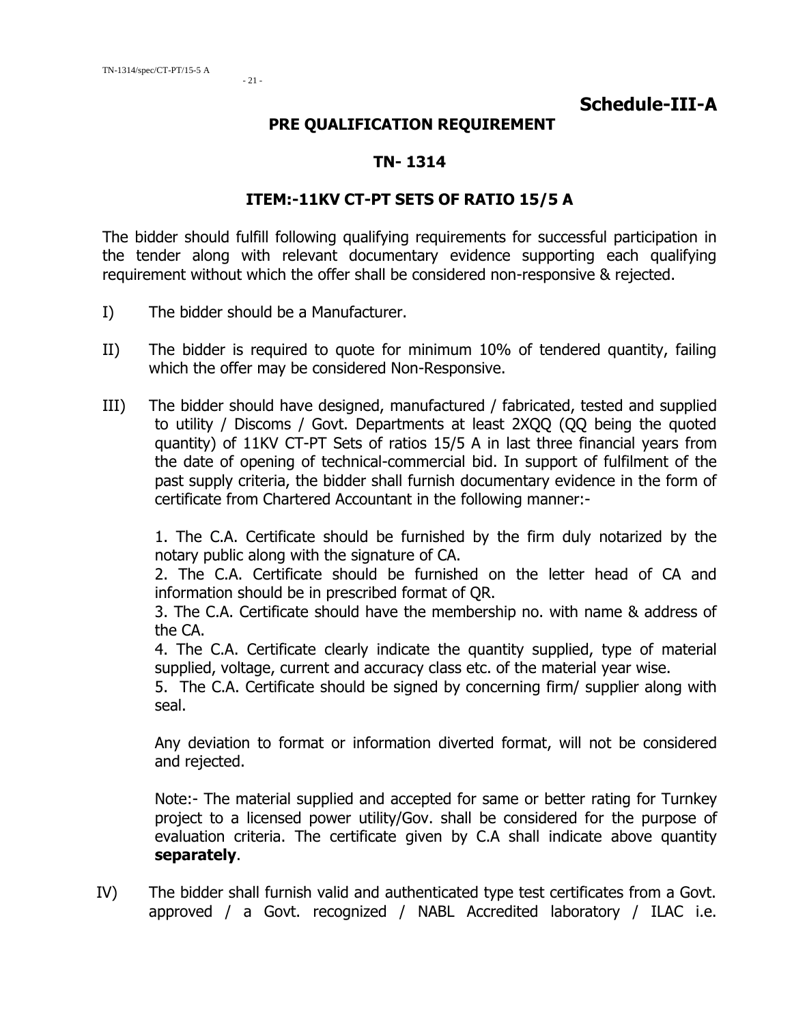#### **PRE QUALIFICATION REQUIREMENT**

#### **TN- 1314**

## **ITEM:-11KV CT-PT SETS OF RATIO 15/5 A**

The bidder should fulfill following qualifying requirements for successful participation in the tender along with relevant documentary evidence supporting each qualifying requirement without which the offer shall be considered non-responsive & rejected.

- I) The bidder should be a Manufacturer.
- II) The bidder is required to quote for minimum 10% of tendered quantity, failing which the offer may be considered Non-Responsive.
- III) The bidder should have designed, manufactured / fabricated, tested and supplied to utility / Discoms / Govt. Departments at least 2XQQ (QQ being the quoted quantity) of 11KV CT-PT Sets of ratios 15/5 A in last three financial years from the date of opening of technical-commercial bid. In support of fulfilment of the past supply criteria, the bidder shall furnish documentary evidence in the form of certificate from Chartered Accountant in the following manner:-

1. The C.A. Certificate should be furnished by the firm duly notarized by the notary public along with the signature of CA.

2. The C.A. Certificate should be furnished on the letter head of CA and information should be in prescribed format of QR.

3. The C.A. Certificate should have the membership no. with name & address of the CA.

4. The C.A. Certificate clearly indicate the quantity supplied, type of material supplied, voltage, current and accuracy class etc. of the material year wise.

5. The C.A. Certificate should be signed by concerning firm/ supplier along with seal.

Any deviation to format or information diverted format, will not be considered and rejected.

Note:- The material supplied and accepted for same or better rating for Turnkey project to a licensed power utility/Gov. shall be considered for the purpose of evaluation criteria. The certificate given by C.A shall indicate above quantity **separately**.

IV) The bidder shall furnish valid and authenticated type test certificates from a Govt. approved / a Govt. recognized / NABL Accredited laboratory / ILAC i.e.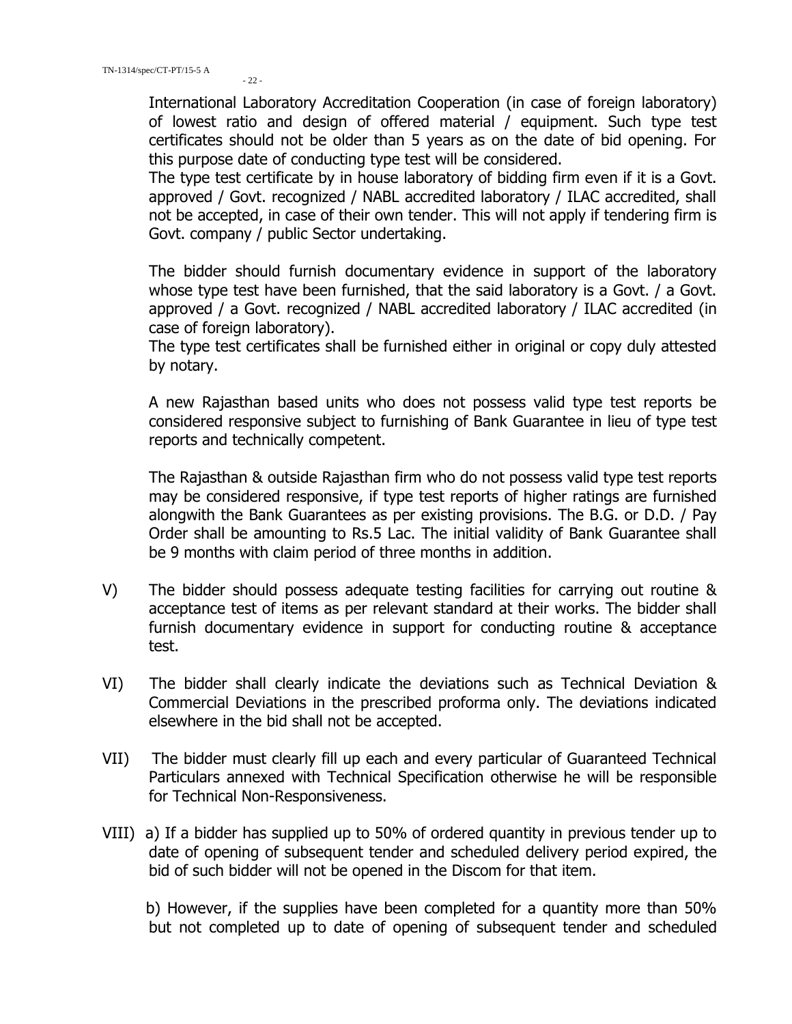International Laboratory Accreditation Cooperation (in case of foreign laboratory) of lowest ratio and design of offered material / equipment. Such type test certificates should not be older than 5 years as on the date of bid opening. For this purpose date of conducting type test will be considered.

The type test certificate by in house laboratory of bidding firm even if it is a Govt. approved / Govt. recognized / NABL accredited laboratory / ILAC accredited, shall not be accepted, in case of their own tender. This will not apply if tendering firm is Govt. company / public Sector undertaking.

The bidder should furnish documentary evidence in support of the laboratory whose type test have been furnished, that the said laboratory is a Govt. / a Govt. approved / a Govt. recognized / NABL accredited laboratory / ILAC accredited (in case of foreign laboratory).

The type test certificates shall be furnished either in original or copy duly attested by notary.

A new Rajasthan based units who does not possess valid type test reports be considered responsive subject to furnishing of Bank Guarantee in lieu of type test reports and technically competent.

The Rajasthan & outside Rajasthan firm who do not possess valid type test reports may be considered responsive, if type test reports of higher ratings are furnished alongwith the Bank Guarantees as per existing provisions. The B.G. or D.D. / Pay Order shall be amounting to Rs.5 Lac. The initial validity of Bank Guarantee shall be 9 months with claim period of three months in addition.

- V) The bidder should possess adequate testing facilities for carrying out routine & acceptance test of items as per relevant standard at their works. The bidder shall furnish documentary evidence in support for conducting routine & acceptance test.
- VI) The bidder shall clearly indicate the deviations such as Technical Deviation & Commercial Deviations in the prescribed proforma only. The deviations indicated elsewhere in the bid shall not be accepted.
- VII) The bidder must clearly fill up each and every particular of Guaranteed Technical Particulars annexed with Technical Specification otherwise he will be responsible for Technical Non-Responsiveness.
- VIII) a) If a bidder has supplied up to 50% of ordered quantity in previous tender up to date of opening of subsequent tender and scheduled delivery period expired, the bid of such bidder will not be opened in the Discom for that item.

 b) However, if the supplies have been completed for a quantity more than 50% but not completed up to date of opening of subsequent tender and scheduled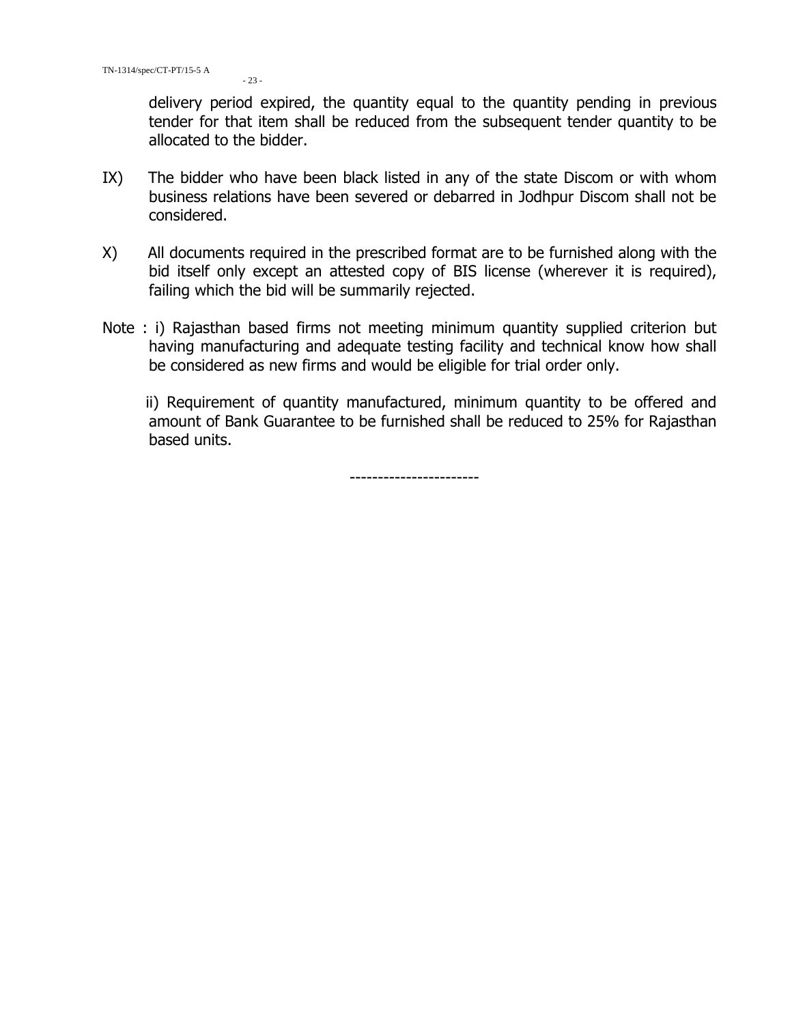delivery period expired, the quantity equal to the quantity pending in previous tender for that item shall be reduced from the subsequent tender quantity to be allocated to the bidder.

- IX) The bidder who have been black listed in any of the state Discom or with whom business relations have been severed or debarred in Jodhpur Discom shall not be considered.
- X) All documents required in the prescribed format are to be furnished along with the bid itself only except an attested copy of BIS license (wherever it is required), failing which the bid will be summarily rejected.
- Note : i) Rajasthan based firms not meeting minimum quantity supplied criterion but having manufacturing and adequate testing facility and technical know how shall be considered as new firms and would be eligible for trial order only.

 ii) Requirement of quantity manufactured, minimum quantity to be offered and amount of Bank Guarantee to be furnished shall be reduced to 25% for Rajasthan based units.

-----------------------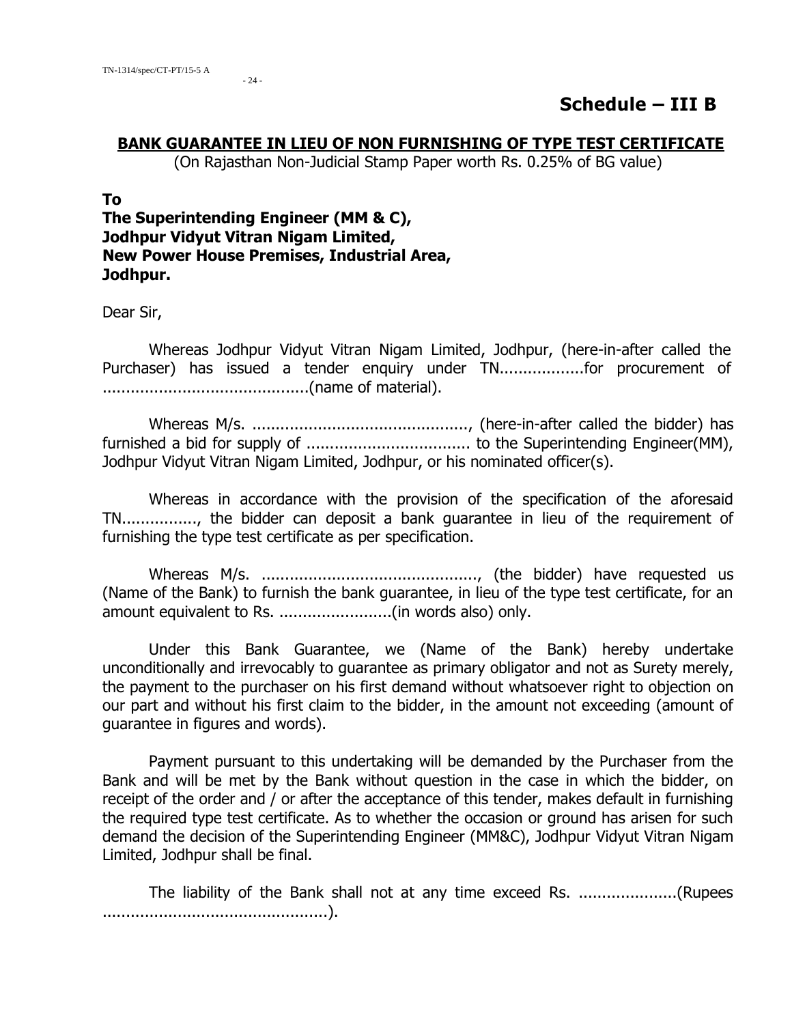$-24$ 

## **Schedule – III B**

#### **BANK GUARANTEE IN LIEU OF NON FURNISHING OF TYPE TEST CERTIFICATE**

(On Rajasthan Non-Judicial Stamp Paper worth Rs. 0.25% of BG value)

#### **To**

**The Superintending Engineer (MM & C), Jodhpur Vidyut Vitran Nigam Limited, New Power House Premises, Industrial Area, Jodhpur.** 

Dear Sir,

Whereas Jodhpur Vidyut Vitran Nigam Limited, Jodhpur, (here-in-after called the Purchaser) has issued a tender enquiry under TN....................for procurement of ............................................(name of material).

Whereas M/s. .............................................., (here-in-after called the bidder) has furnished a bid for supply of ................................... to the Superintending Engineer(MM), Jodhpur Vidyut Vitran Nigam Limited, Jodhpur, or his nominated officer(s).

Whereas in accordance with the provision of the specification of the aforesaid TN................, the bidder can deposit a bank guarantee in lieu of the requirement of furnishing the type test certificate as per specification.

Whereas M/s. .............................................., (the bidder) have requested us (Name of the Bank) to furnish the bank guarantee, in lieu of the type test certificate, for an amount equivalent to Rs. ........................(in words also) only.

Under this Bank Guarantee, we (Name of the Bank) hereby undertake unconditionally and irrevocably to guarantee as primary obligator and not as Surety merely, the payment to the purchaser on his first demand without whatsoever right to objection on our part and without his first claim to the bidder, in the amount not exceeding (amount of guarantee in figures and words).

Payment pursuant to this undertaking will be demanded by the Purchaser from the Bank and will be met by the Bank without question in the case in which the bidder, on receipt of the order and / or after the acceptance of this tender, makes default in furnishing the required type test certificate. As to whether the occasion or ground has arisen for such demand the decision of the Superintending Engineer (MM&C), Jodhpur Vidyut Vitran Nigam Limited, Jodhpur shall be final.

The liability of the Bank shall not at any time exceed Rs. .....................(Rupees ................................................).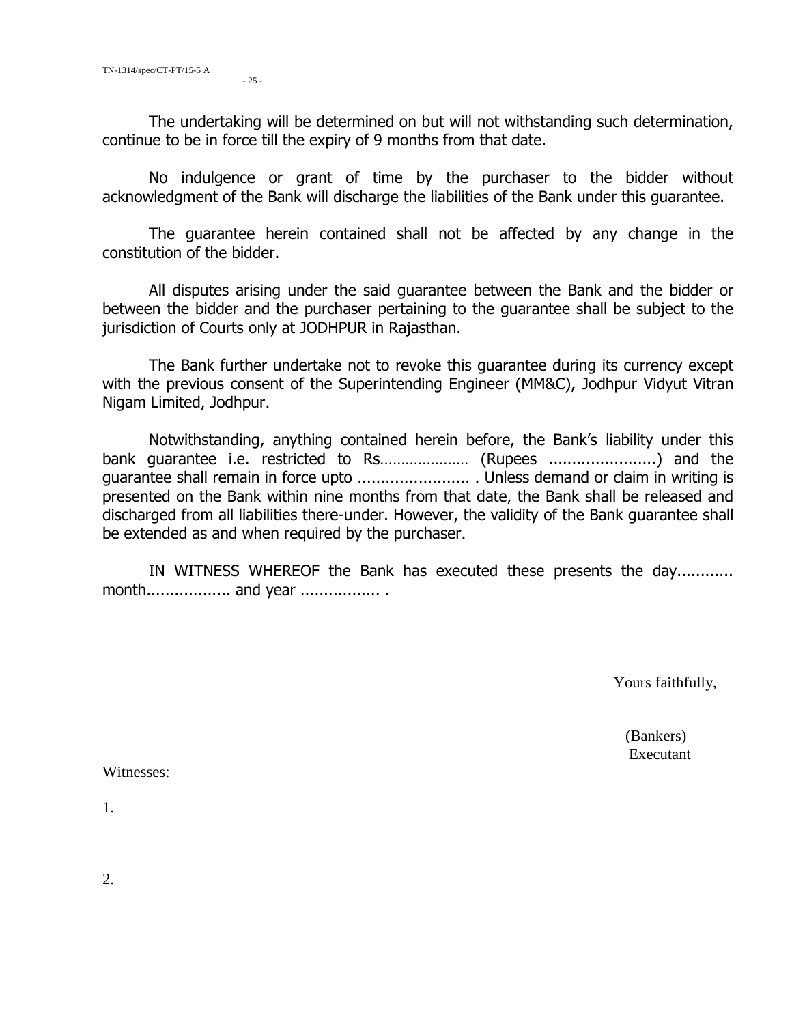The undertaking will be determined on but will not withstanding such determination, continue to be in force till the expiry of 9 months from that date.

No indulgence or grant of time by the purchaser to the bidder without acknowledgment of the Bank will discharge the liabilities of the Bank under this guarantee.

The guarantee herein contained shall not be affected by any change in the constitution of the bidder.

All disputes arising under the said guarantee between the Bank and the bidder or between the bidder and the purchaser pertaining to the guarantee shall be subject to the jurisdiction of Courts only at JODHPUR in Rajasthan.

The Bank further undertake not to revoke this guarantee during its currency except with the previous consent of the Superintending Engineer (MM&C), Jodhpur Vidyut Vitran Nigam Limited, Jodhpur.

Notwithstanding, anything contained herein before, the Bank's liability under this bank guarantee i.e. restricted to Rs………………… (Rupees .......................) and the guarantee shall remain in force upto ........................ . Unless demand or claim in writing is presented on the Bank within nine months from that date, the Bank shall be released and discharged from all liabilities there-under. However, the validity of the Bank guarantee shall be extended as and when required by the purchaser.

IN WITNESS WHEREOF the Bank has executed these presents the day............ month.................. and year ................. .

Yours faithfully,

 (Bankers) Executant

Witnesses:

1.

2.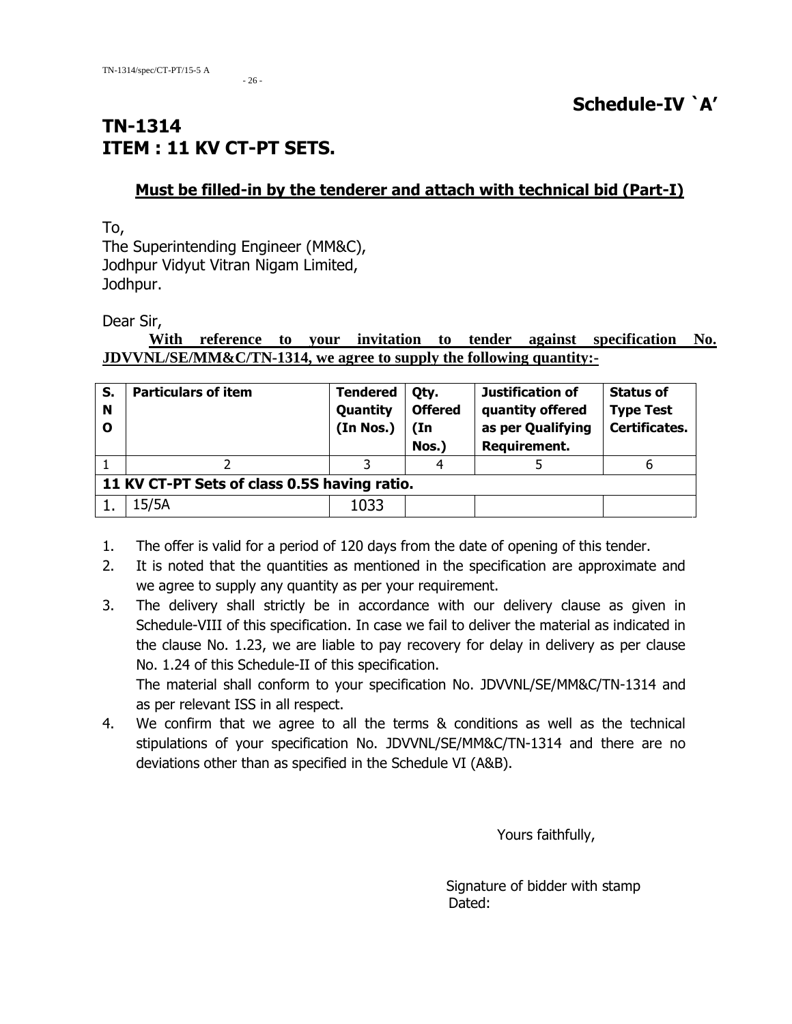- 26 -

# **TN-1314 ITEM : 11 KV CT-PT SETS.**

## **Must be filled-in by the tenderer and attach with technical bid (Part-I)**

To,

The Superintending Engineer (MM&C), Jodhpur Vidyut Vitran Nigam Limited, Jodhpur.

Dear Sir,

#### **With reference to your invitation to tender against specification No. JDVVNL/SE/MM&C/TN-1314, we agree to supply the following quantity:-**

| S.<br>N<br>O | <b>Particulars of item</b>                   | <b>Tendered</b><br>Quantity<br>(In Nos.) | Qty.<br><b>Offered</b><br>$(\text{In}$<br>Nos.) | Justification of<br>quantity offered<br>as per Qualifying<br>Requirement. | <b>Status of</b><br><b>Type Test</b><br>Certificates. |  |  |
|--------------|----------------------------------------------|------------------------------------------|-------------------------------------------------|---------------------------------------------------------------------------|-------------------------------------------------------|--|--|
|              |                                              |                                          | 4                                               |                                                                           | b                                                     |  |  |
|              | 11 KV CT-PT Sets of class 0.5S having ratio. |                                          |                                                 |                                                                           |                                                       |  |  |
|              | 15/5A                                        | 1033                                     |                                                 |                                                                           |                                                       |  |  |

1. The offer is valid for a period of 120 days from the date of opening of this tender.

- 2. It is noted that the quantities as mentioned in the specification are approximate and we agree to supply any quantity as per your requirement.
- 3. The delivery shall strictly be in accordance with our delivery clause as given in Schedule-VIII of this specification. In case we fail to deliver the material as indicated in the clause No. 1.23, we are liable to pay recovery for delay in delivery as per clause No. 1.24 of this Schedule-II of this specification. The material shall conform to your specification No. JDVVNL/SE/MM&C/TN-1314 and

as per relevant ISS in all respect.

4. We confirm that we agree to all the terms & conditions as well as the technical stipulations of your specification No. JDVVNL/SE/MM&C/TN-1314 and there are no deviations other than as specified in the Schedule VI (A&B).

Yours faithfully,

 Signature of bidder with stamp Dated: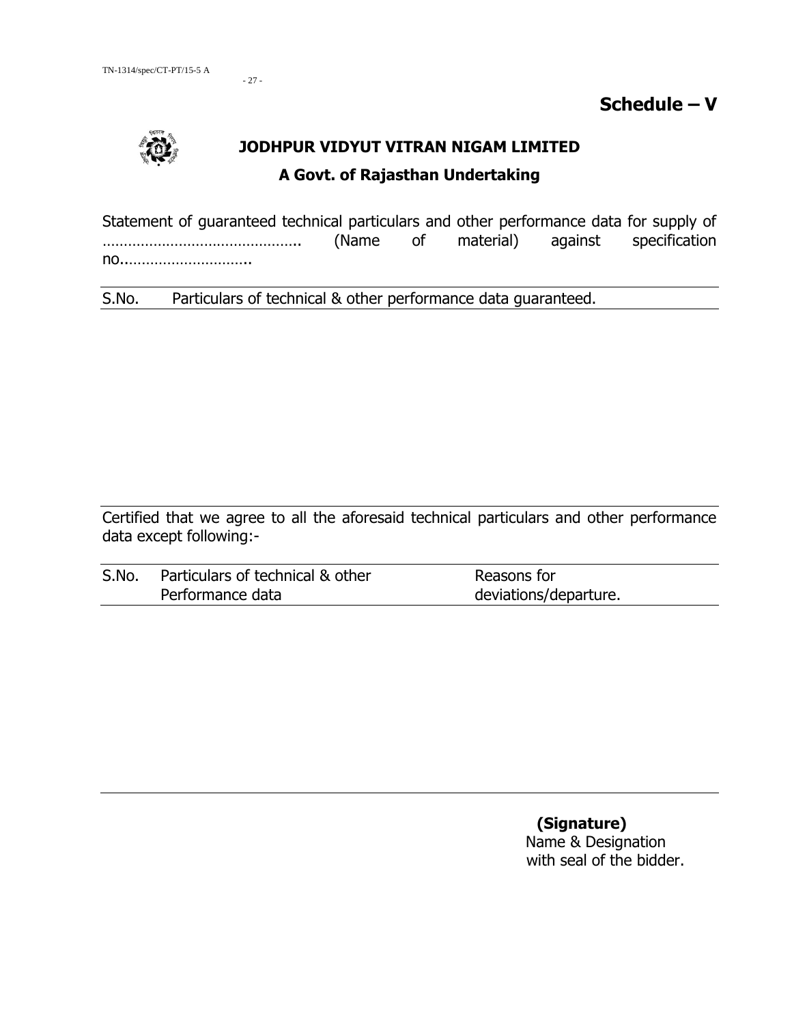- 27 -

**Schedule – V**



# **JODHPUR VIDYUT VITRAN NIGAM LIMITED A Govt. of Rajasthan Undertaking**

Statement of guaranteed technical particulars and other performance data for supply of ……………………………………….. (Name of material) against specification no..………………………..

S.No. Particulars of technical & other performance data guaranteed.

Certified that we agree to all the aforesaid technical particulars and other performance data except following:-

| S.No. | Particulars of technical & other | Reasons for           |
|-------|----------------------------------|-----------------------|
|       | Performance data                 | deviations/departure. |

 **(Signature)** Name & Designation with seal of the bidder.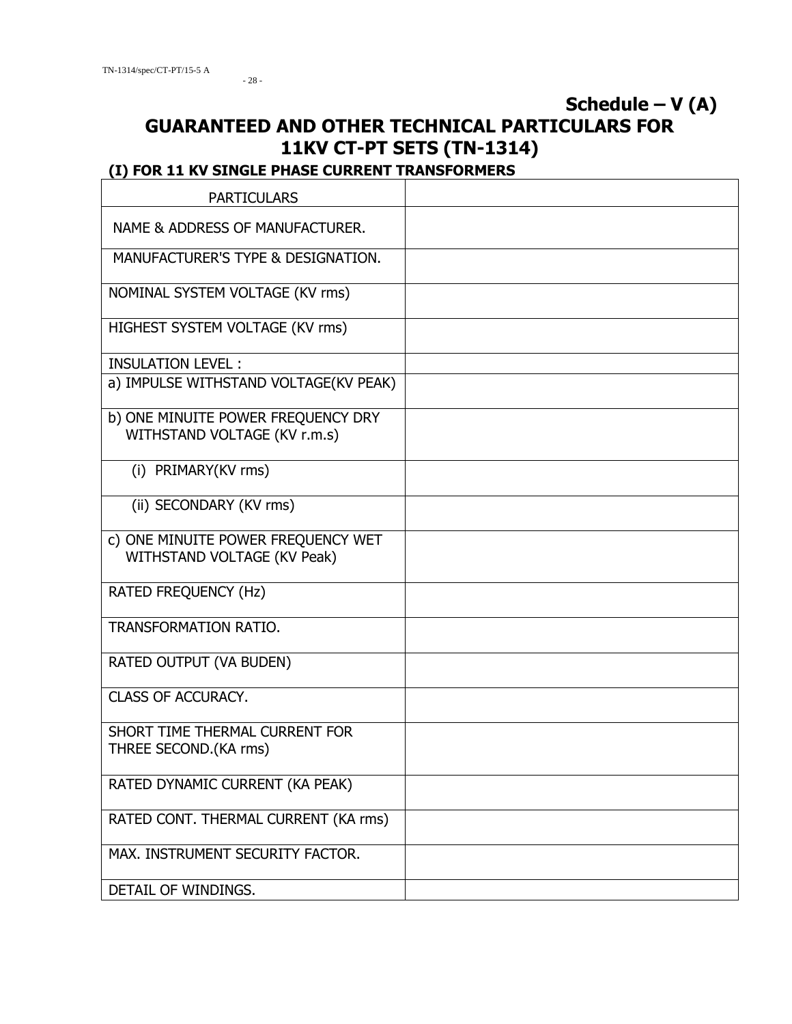# **Schedule – V (A) GUARANTEED AND OTHER TECHNICAL PARTICULARS FOR 11KV CT-PT SETS (TN-1314)**

# **(I) FOR 11 KV SINGLE PHASE CURRENT TRANSFORMERS**

| <b>PARTICULARS</b>                                      |  |
|---------------------------------------------------------|--|
| NAME & ADDRESS OF MANUFACTURER.                         |  |
| MANUFACTURER'S TYPE & DESIGNATION.                      |  |
| NOMINAL SYSTEM VOLTAGE (KV rms)                         |  |
| HIGHEST SYSTEM VOLTAGE (KV rms)                         |  |
| <b>INSULATION LEVEL:</b>                                |  |
| a) IMPULSE WITHSTAND VOLTAGE(KV PEAK)                   |  |
| b) ONE MINUITE POWER FREQUENCY DRY                      |  |
| WITHSTAND VOLTAGE (KV r.m.s)                            |  |
| (i) PRIMARY(KV rms)                                     |  |
| (ii) SECONDARY (KV rms)                                 |  |
| c) ONE MINUITE POWER FREQUENCY WET                      |  |
| WITHSTAND VOLTAGE (KV Peak)                             |  |
| RATED FREQUENCY (Hz)                                    |  |
| <b>TRANSFORMATION RATIO.</b>                            |  |
| RATED OUTPUT (VA BUDEN)                                 |  |
| <b>CLASS OF ACCURACY.</b>                               |  |
| SHORT TIME THERMAL CURRENT FOR<br>THREE SECOND.(KA rms) |  |
| RATED DYNAMIC CURRENT (KA PEAK)                         |  |
| RATED CONT. THERMAL CURRENT (KA rms)                    |  |
| MAX. INSTRUMENT SECURITY FACTOR.                        |  |
| DETAIL OF WINDINGS.                                     |  |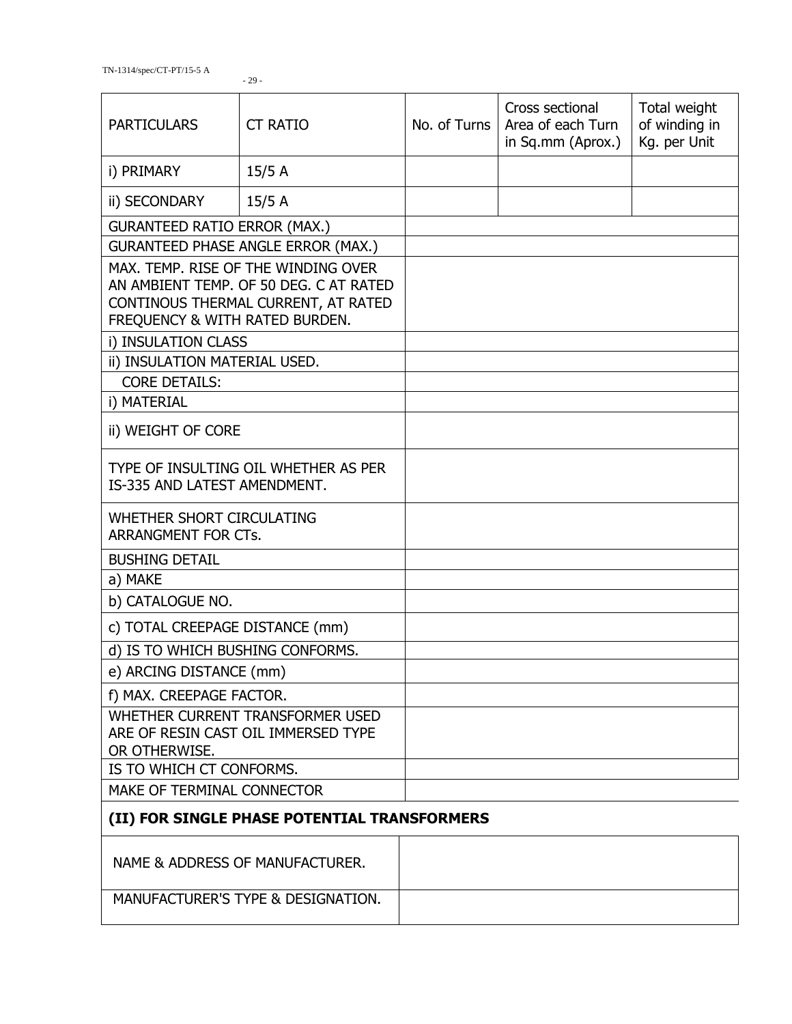| <b>PARTICULARS</b>                                                                       | <b>CT RATIO</b>                                                                                                      | No. of Turns | Cross sectional<br>Area of each Turn<br>in Sq.mm (Aprox.) | Total weight<br>of winding in<br>Kg. per Unit |
|------------------------------------------------------------------------------------------|----------------------------------------------------------------------------------------------------------------------|--------------|-----------------------------------------------------------|-----------------------------------------------|
| i) PRIMARY                                                                               | 15/5A                                                                                                                |              |                                                           |                                               |
| ii) SECONDARY                                                                            | 15/5A                                                                                                                |              |                                                           |                                               |
| <b>GURANTEED RATIO ERROR (MAX.)</b>                                                      |                                                                                                                      |              |                                                           |                                               |
|                                                                                          | <b>GURANTEED PHASE ANGLE ERROR (MAX.)</b>                                                                            |              |                                                           |                                               |
| FREQUENCY & WITH RATED BURDEN.                                                           | MAX. TEMP. RISE OF THE WINDING OVER<br>AN AMBIENT TEMP. OF 50 DEG. C AT RATED<br>CONTINOUS THERMAL CURRENT, AT RATED |              |                                                           |                                               |
| i) INSULATION CLASS                                                                      |                                                                                                                      |              |                                                           |                                               |
| ii) INSULATION MATERIAL USED.                                                            |                                                                                                                      |              |                                                           |                                               |
| <b>CORE DETAILS:</b>                                                                     |                                                                                                                      |              |                                                           |                                               |
| i) MATERIAL                                                                              |                                                                                                                      |              |                                                           |                                               |
| ii) WEIGHT OF CORE                                                                       |                                                                                                                      |              |                                                           |                                               |
| TYPE OF INSULTING OIL WHETHER AS PER<br>IS-335 AND LATEST AMENDMENT.                     |                                                                                                                      |              |                                                           |                                               |
| WHETHER SHORT CIRCULATING<br>ARRANGMENT FOR CTs.                                         |                                                                                                                      |              |                                                           |                                               |
| <b>BUSHING DETAIL</b>                                                                    |                                                                                                                      |              |                                                           |                                               |
| a) MAKE                                                                                  |                                                                                                                      |              |                                                           |                                               |
| b) CATALOGUE NO.                                                                         |                                                                                                                      |              |                                                           |                                               |
| c) TOTAL CREEPAGE DISTANCE (mm)                                                          |                                                                                                                      |              |                                                           |                                               |
| d) IS TO WHICH BUSHING CONFORMS.                                                         |                                                                                                                      |              |                                                           |                                               |
| e) ARCING DISTANCE (mm)                                                                  |                                                                                                                      |              |                                                           |                                               |
| f) MAX. CREEPAGE FACTOR.                                                                 |                                                                                                                      |              |                                                           |                                               |
| WHETHER CURRENT TRANSFORMER USED<br>ARE OF RESIN CAST OIL IMMERSED TYPE<br>OR OTHERWISE. |                                                                                                                      |              |                                                           |                                               |
| IS TO WHICH CT CONFORMS.                                                                 |                                                                                                                      |              |                                                           |                                               |
| MAKE OF TERMINAL CONNECTOR                                                               |                                                                                                                      |              |                                                           |                                               |
|                                                                                          | (II) FOR SINGLE PHASE POTENTIAL TRANSFORMERS                                                                         |              |                                                           |                                               |
|                                                                                          | NAME & ADDRESS OF MANUFACTURER.                                                                                      |              |                                                           |                                               |

MANUFACTURER'S TYPE & DESIGNATION.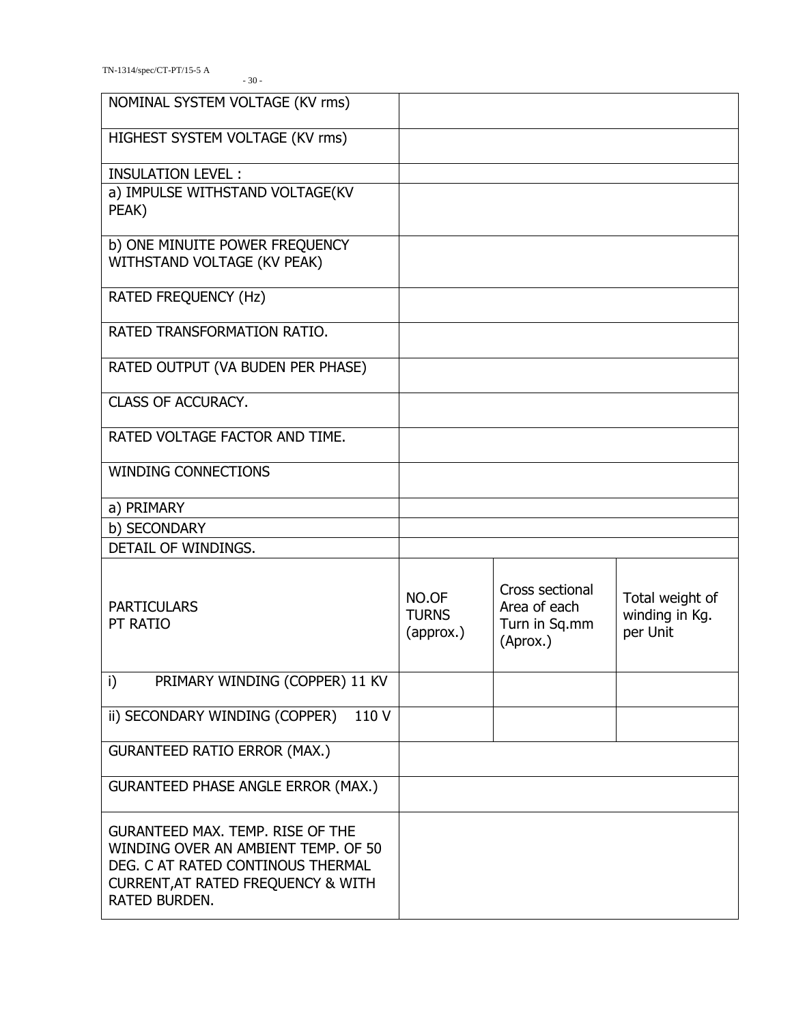| NOMINAL SYSTEM VOLTAGE (KV rms)                                                                                                                                            |                                    |                                                              |                                               |
|----------------------------------------------------------------------------------------------------------------------------------------------------------------------------|------------------------------------|--------------------------------------------------------------|-----------------------------------------------|
| HIGHEST SYSTEM VOLTAGE (KV rms)                                                                                                                                            |                                    |                                                              |                                               |
| <b>INSULATION LEVEL:</b>                                                                                                                                                   |                                    |                                                              |                                               |
| a) IMPULSE WITHSTAND VOLTAGE(KV<br>PEAK)                                                                                                                                   |                                    |                                                              |                                               |
| b) ONE MINUITE POWER FREQUENCY<br>WITHSTAND VOLTAGE (KV PEAK)                                                                                                              |                                    |                                                              |                                               |
| RATED FREQUENCY (Hz)                                                                                                                                                       |                                    |                                                              |                                               |
| RATED TRANSFORMATION RATIO.                                                                                                                                                |                                    |                                                              |                                               |
| RATED OUTPUT (VA BUDEN PER PHASE)                                                                                                                                          |                                    |                                                              |                                               |
| CLASS OF ACCURACY.                                                                                                                                                         |                                    |                                                              |                                               |
| RATED VOLTAGE FACTOR AND TIME.                                                                                                                                             |                                    |                                                              |                                               |
| <b>WINDING CONNECTIONS</b>                                                                                                                                                 |                                    |                                                              |                                               |
| a) PRIMARY                                                                                                                                                                 |                                    |                                                              |                                               |
| b) SECONDARY                                                                                                                                                               |                                    |                                                              |                                               |
| DETAIL OF WINDINGS.                                                                                                                                                        |                                    |                                                              |                                               |
| <b>PARTICULARS</b><br>PT RATIO                                                                                                                                             | NO.OF<br><b>TURNS</b><br>(approx.) | Cross sectional<br>Area of each<br>Turn in Sq.mm<br>(Aprox.) | Total weight of<br>winding in Kg.<br>per Unit |
| i)<br>PRIMARY WINDING (COPPER) 11 KV                                                                                                                                       |                                    |                                                              |                                               |
| 110 V<br>ii) SECONDARY WINDING (COPPER)                                                                                                                                    |                                    |                                                              |                                               |
| <b>GURANTEED RATIO ERROR (MAX.)</b>                                                                                                                                        |                                    |                                                              |                                               |
| <b>GURANTEED PHASE ANGLE ERROR (MAX.)</b>                                                                                                                                  |                                    |                                                              |                                               |
| <b>GURANTEED MAX. TEMP. RISE OF THE</b><br>WINDING OVER AN AMBIENT TEMP. OF 50<br>DEG. C AT RATED CONTINOUS THERMAL<br>CURRENT, AT RATED FREQUENCY & WITH<br>RATED BURDEN. |                                    |                                                              |                                               |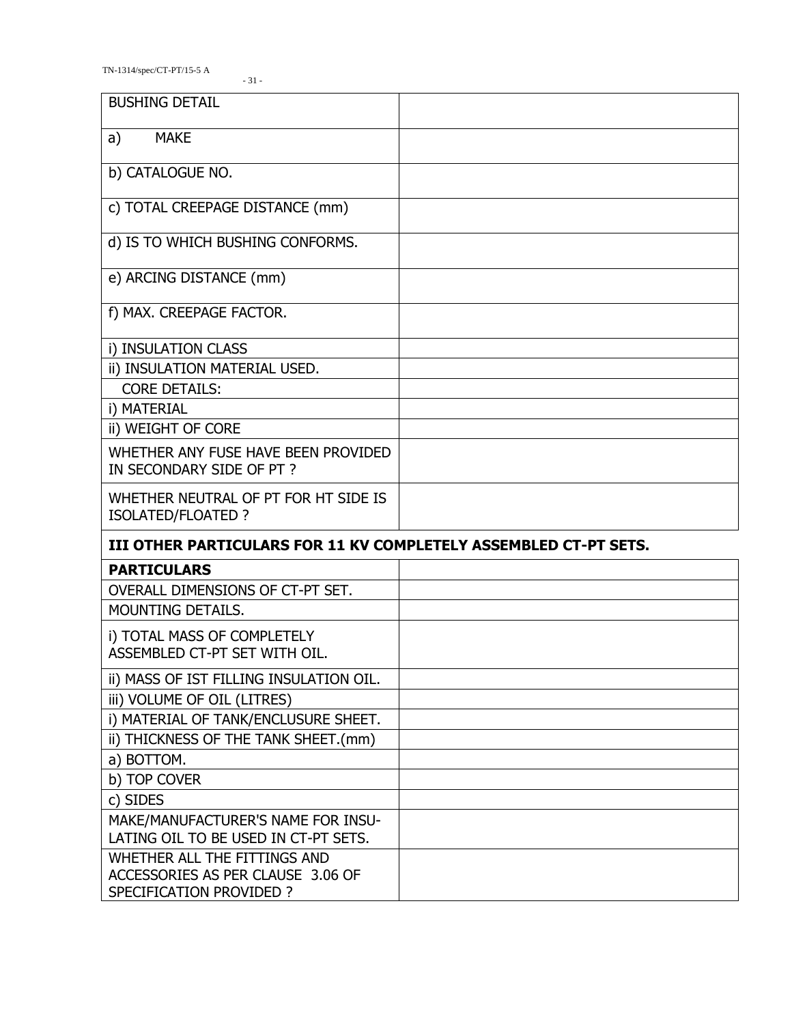TN-1314/spec/CT-PT/15-5 A

| <b>BUSHING DETAIL</b>                                                      |  |
|----------------------------------------------------------------------------|--|
| <b>MAKE</b><br>a)                                                          |  |
| b) CATALOGUE NO.                                                           |  |
| c) TOTAL CREEPAGE DISTANCE (mm)                                            |  |
| d) IS TO WHICH BUSHING CONFORMS.                                           |  |
| e) ARCING DISTANCE (mm)                                                    |  |
| f) MAX. CREEPAGE FACTOR.                                                   |  |
| i) INSULATION CLASS                                                        |  |
| ii) INSULATION MATERIAL USED.                                              |  |
| <b>CORE DETAILS:</b>                                                       |  |
| i) MATERIAL                                                                |  |
| ii) WEIGHT OF CORE                                                         |  |
| WHETHER ANY FUSE HAVE BEEN PROVIDED<br>IN SECONDARY SIDE OF PT?            |  |
| WHETHER NEUTRAL OF PT FOR HT SIDE IS                                       |  |
| ISOLATED/FLOATED ?                                                         |  |
| III OTHER PARTICULARS FOR 11 KV COMPLETELY ASSEMBLED CT-PT SETS.           |  |
| <b>PARTICULARS</b>                                                         |  |
| OVERALL DIMENSIONS OF CT-PT SET.                                           |  |
| <b>MOUNTING DETAILS.</b>                                                   |  |
| i) TOTAL MASS OF COMPLETELY<br>ASSEMBLED CT-PT SET WITH OIL.               |  |
|                                                                            |  |
| ii) MASS OF IST FILLING INSULATION OIL.<br>iii) VOLUME OF OIL (LITRES)     |  |
| i) MATERIAL OF TANK/ENCLUSURE SHEET.                                       |  |
| ii) THICKNESS OF THE TANK SHEET.(mm)                                       |  |
| a) BOTTOM.                                                                 |  |
| b) TOP COVER                                                               |  |
| c) SIDES                                                                   |  |
| MAKE/MANUFACTURER'S NAME FOR INSU-<br>LATING OIL TO BE USED IN CT-PT SETS. |  |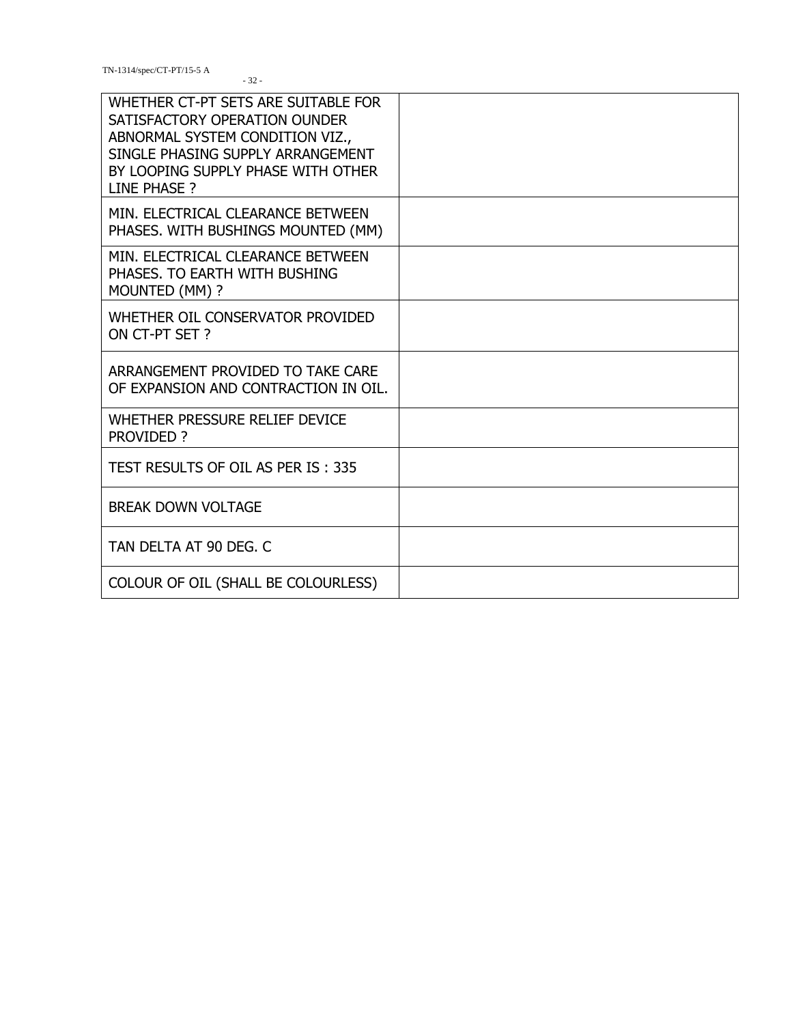TN-1314/spec/CT-PT/15-5 A

| WHETHER CT-PT SETS ARE SUITABLE FOR<br>SATISFACTORY OPERATION OUNDER<br>ABNORMAL SYSTEM CONDITION VIZ.,<br>SINGLE PHASING SUPPLY ARRANGEMENT<br>BY LOOPING SUPPLY PHASE WITH OTHER<br>LINE PHASE ? |  |
|----------------------------------------------------------------------------------------------------------------------------------------------------------------------------------------------------|--|
| MIN. ELECTRICAL CLEARANCE BETWEEN<br>PHASES. WITH BUSHINGS MOUNTED (MM)                                                                                                                            |  |
| MIN. ELECTRICAL CLEARANCE BETWEEN<br>PHASES. TO EARTH WITH BUSHING<br>MOUNTED (MM) ?                                                                                                               |  |
| WHETHER OIL CONSERVATOR PROVIDED<br>ON CT-PT SET?                                                                                                                                                  |  |
| ARRANGEMENT PROVIDED TO TAKE CARE<br>OF EXPANSION AND CONTRACTION IN OIL.                                                                                                                          |  |
| WHETHER PRESSURE RELIEF DEVICE<br>PROVIDED ?                                                                                                                                                       |  |
| TEST RESULTS OF OIL AS PER IS: 335                                                                                                                                                                 |  |
| <b>BREAK DOWN VOLTAGE</b>                                                                                                                                                                          |  |
| TAN DELTA AT 90 DEG. C                                                                                                                                                                             |  |
| COLOUR OF OIL (SHALL BE COLOURLESS)                                                                                                                                                                |  |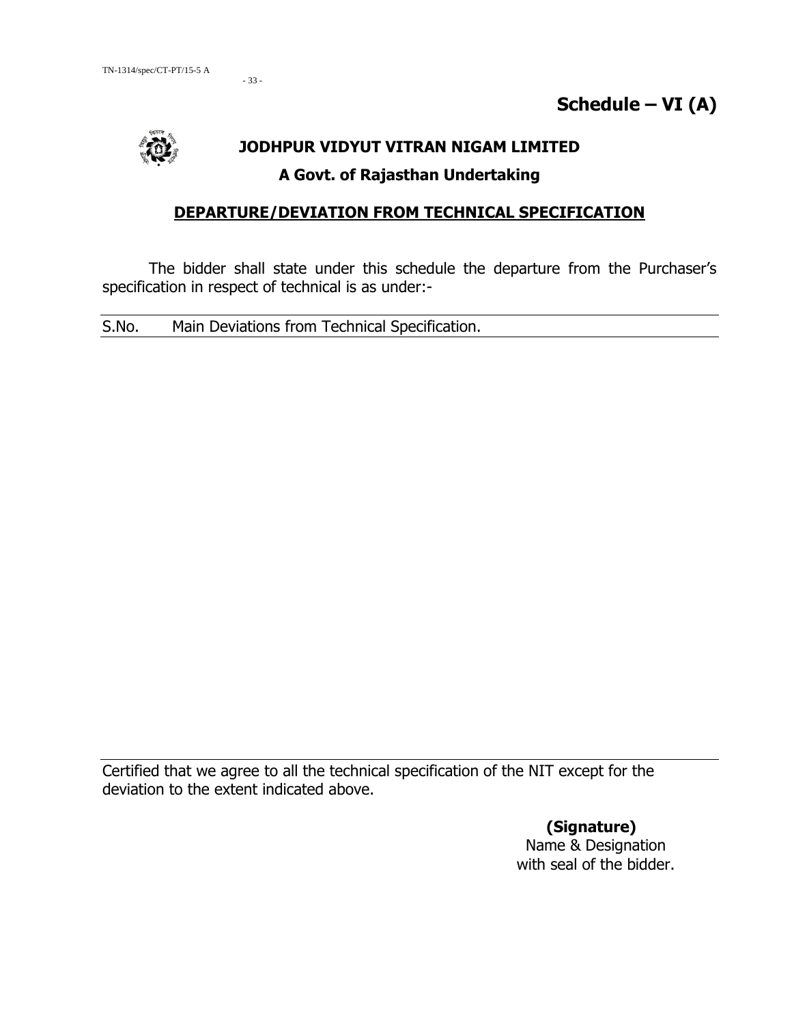- 33 -



# **JODHPUR VIDYUT VITRAN NIGAM LIMITED A Govt. of Rajasthan Undertaking**

## **DEPARTURE/DEVIATION FROM TECHNICAL SPECIFICATION**

The bidder shall state under this schedule the departure from the Purchaser's specification in respect of technical is as under:-

S.No. Main Deviations from Technical Specification.

Certified that we agree to all the technical specification of the NIT except for the deviation to the extent indicated above.

> **(Signature)** Name & Designation with seal of the bidder.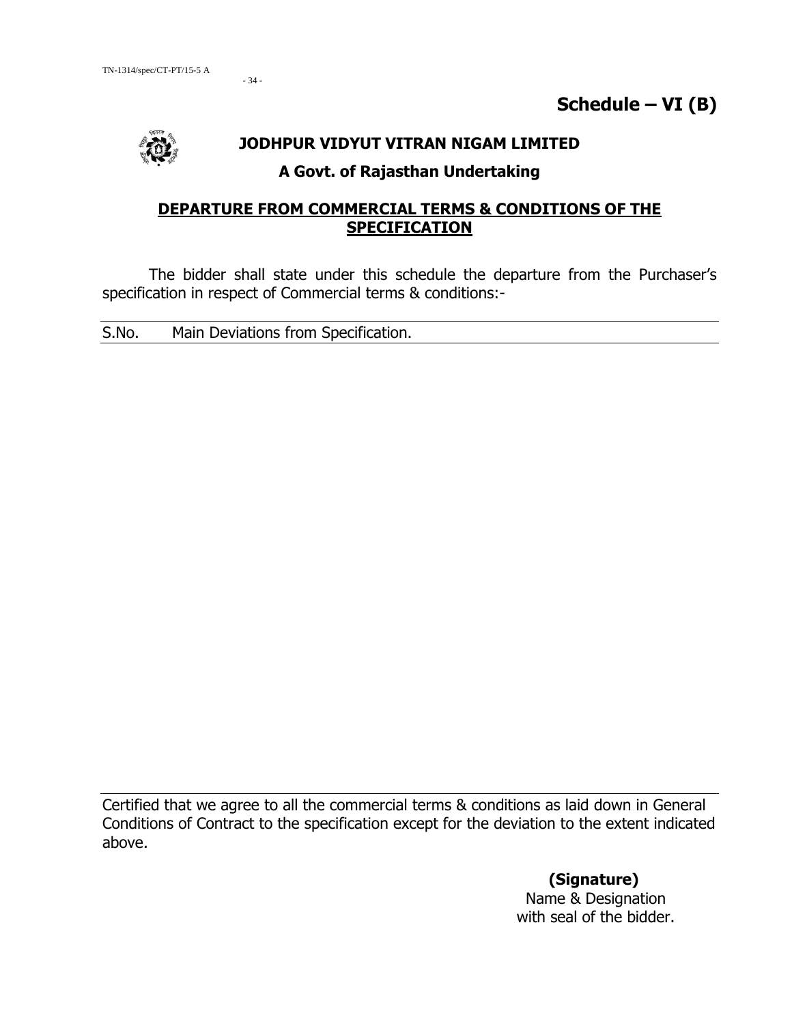$-34-$ 



#### **JODHPUR VIDYUT VITRAN NIGAM LIMITED**

## **A Govt. of Rajasthan Undertaking**

## **DEPARTURE FROM COMMERCIAL TERMS & CONDITIONS OF THE SPECIFICATION**

The bidder shall state under this schedule the departure from the Purchaser's specification in respect of Commercial terms & conditions:-

S.No. Main Deviations from Specification.

Certified that we agree to all the commercial terms & conditions as laid down in General Conditions of Contract to the specification except for the deviation to the extent indicated above.

> **(Signature)** Name & Designation with seal of the bidder.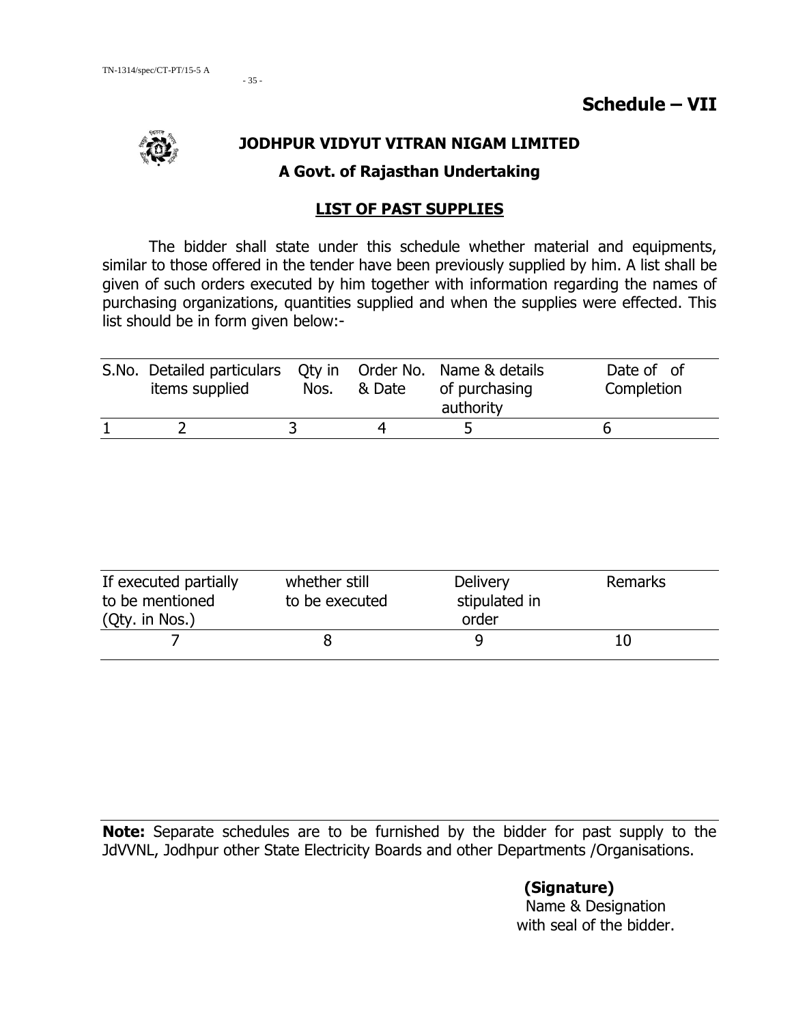

## **JODHPUR VIDYUT VITRAN NIGAM LIMITED**

#### **A Govt. of Rajasthan Undertaking**

#### **LIST OF PAST SUPPLIES**

The bidder shall state under this schedule whether material and equipments, similar to those offered in the tender have been previously supplied by him. A list shall be given of such orders executed by him together with information regarding the names of purchasing organizations, quantities supplied and when the supplies were effected. This list should be in form given below:-

| S. No. Detailed particulars Qty in Order No. Name & details<br>items supplied | Nos. | & Date | of purchasing<br>authority | Date of of<br>Completion |
|-------------------------------------------------------------------------------|------|--------|----------------------------|--------------------------|
|                                                                               |      |        |                            |                          |

| If executed partially<br>to be mentioned<br>(Qty. in Nos.) | whether still<br>to be executed | Delivery<br>stipulated in<br>order | Remarks |
|------------------------------------------------------------|---------------------------------|------------------------------------|---------|
|                                                            |                                 |                                    |         |

**Note:** Separate schedules are to be furnished by the bidder for past supply to the JdVVNL, Jodhpur other State Electricity Boards and other Departments /Organisations.

> **(Signature)** Name & Designation with seal of the bidder.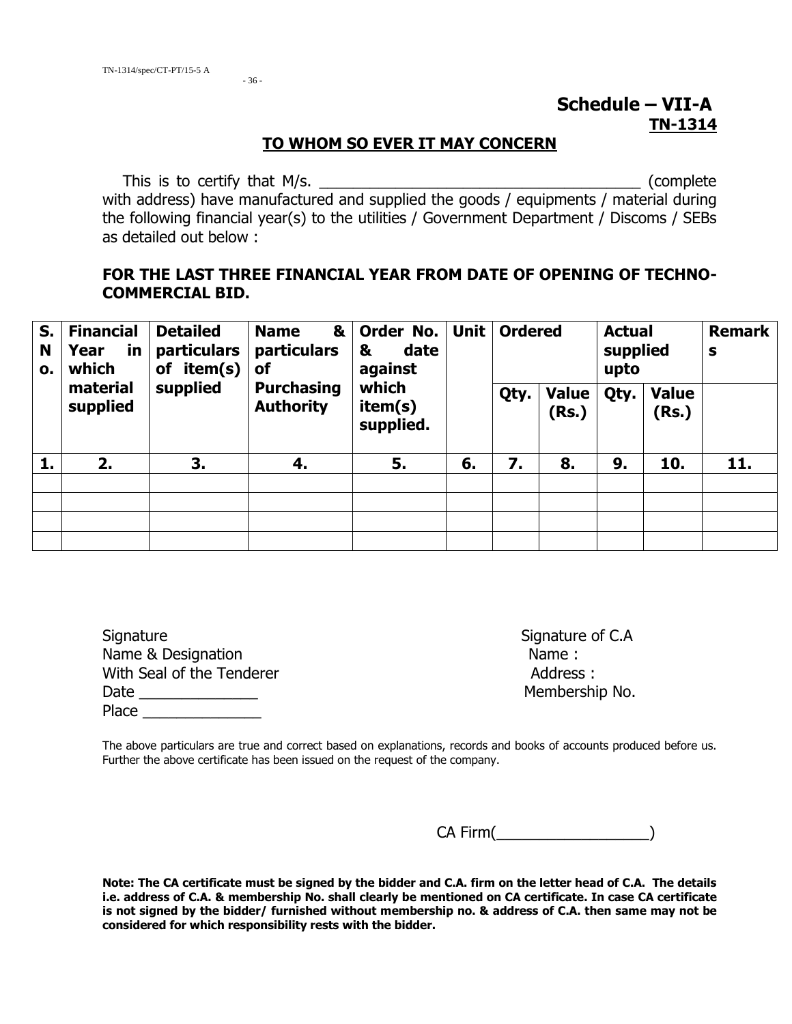# **Schedule – VII-A TN-1314**

#### **TO WHOM SO EVER IT MAY CONCERN**

This is to certify that M/s. with address) have manufactured and supplied the goods / equipments / material during the following financial year(s) to the utilities / Government Department / Discoms / SEBs as detailed out below :

#### **FOR THE LAST THREE FINANCIAL YEAR FROM DATE OF OPENING OF TECHNO-COMMERCIAL BID.**

| S.<br>N<br>0. | <b>Financial</b><br>Year<br><u>in</u><br>which | <b>Detailed</b><br><b>particulars</b><br>item(s)<br>οf<br>supplied | &<br><b>Name</b><br>particulars<br>of<br><b>Purchasing</b><br><b>Authority</b> | Order No.<br>date<br>&<br>against<br>which<br>item(s)<br>supplied. |    | <b>Unit</b> | <b>Ordered</b> |                       | <b>Actual</b><br>supplied<br>upto |                       | <b>Remark</b><br>S |
|---------------|------------------------------------------------|--------------------------------------------------------------------|--------------------------------------------------------------------------------|--------------------------------------------------------------------|----|-------------|----------------|-----------------------|-----------------------------------|-----------------------|--------------------|
|               | material<br>supplied                           |                                                                    |                                                                                |                                                                    |    |             | Qty.           | <b>Value</b><br>(Rs.) | Qty.                              | <b>Value</b><br>(Rs.) |                    |
| 1.            | 2.                                             | 3.                                                                 | 4.                                                                             | 5.                                                                 | 6. | 7.          | 8.             | 9.                    | 10.                               | 11.                   |                    |
|               |                                                |                                                                    |                                                                                |                                                                    |    |             |                |                       |                                   |                       |                    |
|               |                                                |                                                                    |                                                                                |                                                                    |    |             |                |                       |                                   |                       |                    |
|               |                                                |                                                                    |                                                                                |                                                                    |    |             |                |                       |                                   |                       |                    |
|               |                                                |                                                                    |                                                                                |                                                                    |    |             |                |                       |                                   |                       |                    |

| Signature                 | Signature |
|---------------------------|-----------|
| Name & Designation        | Name:     |
| With Seal of the Tenderer | Address   |
| Date                      | Members   |
| Place                     |           |

Signature of C.A. Address : Membership No.

The above particulars are true and correct based on explanations, records and books of accounts produced before us. Further the above certificate has been issued on the request of the company.

CA Firm(\_\_\_\_\_\_\_\_\_\_\_\_\_\_\_\_\_\_)

**Note: The CA certificate must be signed by the bidder and C.A. firm on the letter head of C.A. The details i.e. address of C.A. & membership No. shall clearly be mentioned on CA certificate. In case CA certificate is not signed by the bidder/ furnished without membership no. & address of C.A. then same may not be considered for which responsibility rests with the bidder.**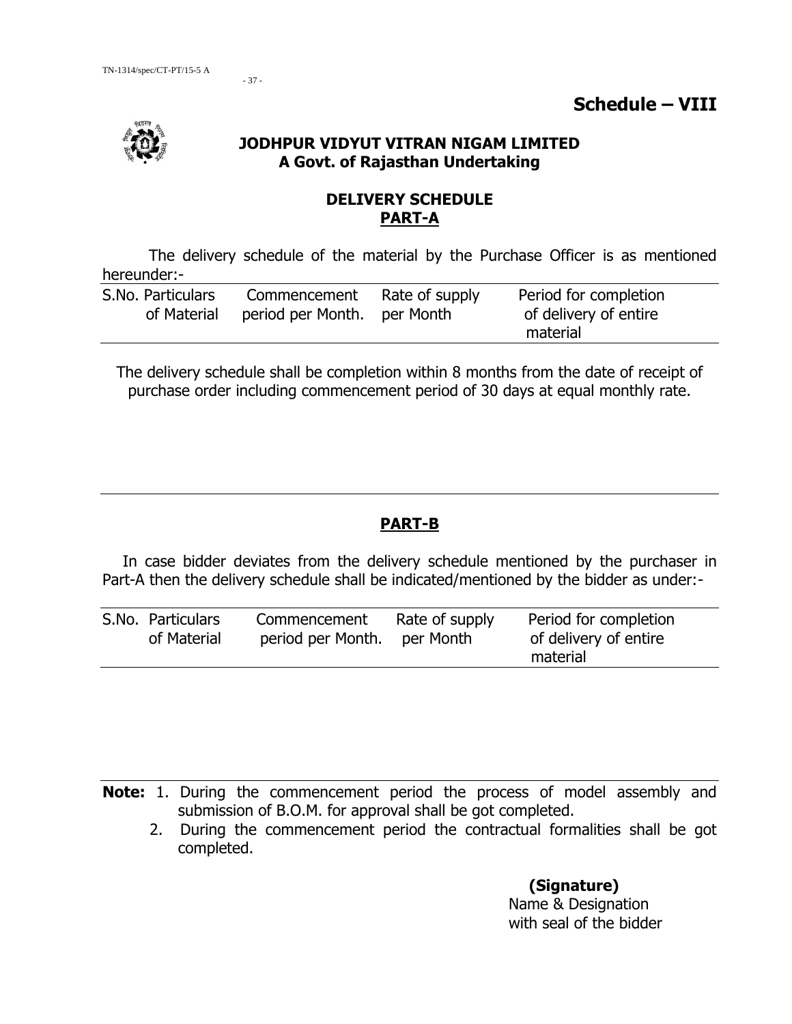- 37 -

#### **JODHPUR VIDYUT VITRAN NIGAM LIMITED A Govt. of Rajasthan Undertaking**

## **DELIVERY SCHEDULE PART-A**

The delivery schedule of the material by the Purchase Officer is as mentioned hereunder:-

| S.No. Particulars | Commencement                            | Rate of supply | Period for completion |
|-------------------|-----------------------------------------|----------------|-----------------------|
|                   | of Material period per Month. per Month |                | of delivery of entire |
|                   |                                         |                | material              |

The delivery schedule shall be completion within 8 months from the date of receipt of purchase order including commencement period of 30 days at equal monthly rate.

## **PART-B**

In case bidder deviates from the delivery schedule mentioned by the purchaser in Part-A then the delivery schedule shall be indicated/mentioned by the bidder as under:-

| S.No. Particulars<br>of Material | Commencement<br>period per Month. | Rate of supply<br>per Month | Period for completion<br>of delivery of entire<br>material |
|----------------------------------|-----------------------------------|-----------------------------|------------------------------------------------------------|
|                                  |                                   |                             |                                                            |

**Note:** 1. During the commencement period the process of model assembly and submission of B.O.M. for approval shall be got completed.

 2. During the commencement period the contractual formalities shall be got completed.

> **(Signature)** Name & Designation with seal of the bidder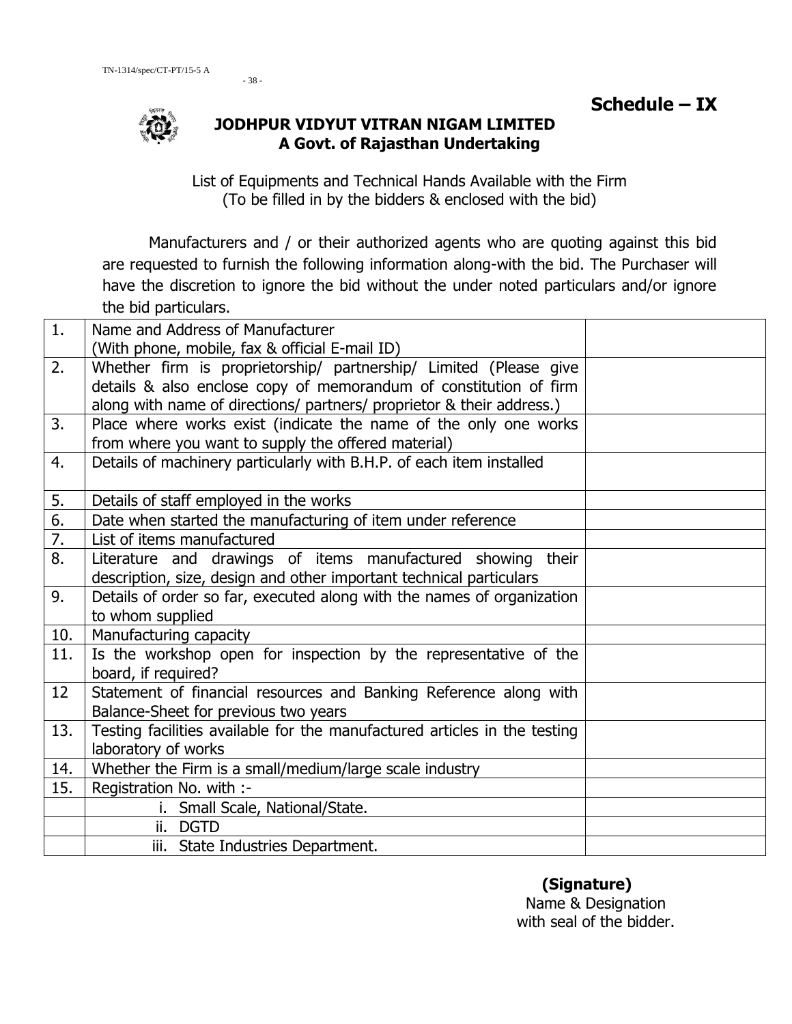

## **JODHPUR VIDYUT VITRAN NIGAM LIMITED A Govt. of Rajasthan Undertaking**

List of Equipments and Technical Hands Available with the Firm (To be filled in by the bidders & enclosed with the bid)

Manufacturers and / or their authorized agents who are quoting against this bid are requested to furnish the following information along-with the bid. The Purchaser will have the discretion to ignore the bid without the under noted particulars and/or ignore the bid particulars.

| 1.               | Name and Address of Manufacturer                                          |  |  |  |
|------------------|---------------------------------------------------------------------------|--|--|--|
|                  | (With phone, mobile, fax & official E-mail ID)                            |  |  |  |
| 2.               | Whether firm is proprietorship/ partnership/ Limited (Please give         |  |  |  |
|                  | details & also enclose copy of memorandum of constitution of firm         |  |  |  |
|                  | along with name of directions/ partners/ proprietor & their address.)     |  |  |  |
| 3.               | Place where works exist (indicate the name of the only one works          |  |  |  |
|                  | from where you want to supply the offered material)                       |  |  |  |
| 4.               | Details of machinery particularly with B.H.P. of each item installed      |  |  |  |
| 5.               | Details of staff employed in the works                                    |  |  |  |
| $\overline{6}$ . | Date when started the manufacturing of item under reference               |  |  |  |
| $\overline{7}$ . | List of items manufactured                                                |  |  |  |
| 8.               | Literature and drawings of items manufactured showing<br>their            |  |  |  |
|                  | description, size, design and other important technical particulars       |  |  |  |
| 9.               | Details of order so far, executed along with the names of organization    |  |  |  |
|                  | to whom supplied                                                          |  |  |  |
| 10.              | Manufacturing capacity                                                    |  |  |  |
| 11.              | Is the workshop open for inspection by the representative of the          |  |  |  |
|                  | board, if required?                                                       |  |  |  |
| 12               | Statement of financial resources and Banking Reference along with         |  |  |  |
|                  | Balance-Sheet for previous two years                                      |  |  |  |
| 13.              | Testing facilities available for the manufactured articles in the testing |  |  |  |
|                  | laboratory of works                                                       |  |  |  |
| 14.              | Whether the Firm is a small/medium/large scale industry                   |  |  |  |
| 15.              | Registration No. with :-                                                  |  |  |  |
|                  | i. Small Scale, National/State.                                           |  |  |  |
|                  | ii. DGTD                                                                  |  |  |  |
|                  | iii. State Industries Department.                                         |  |  |  |

## **(Signature)**

Name & Designation with seal of the bidder.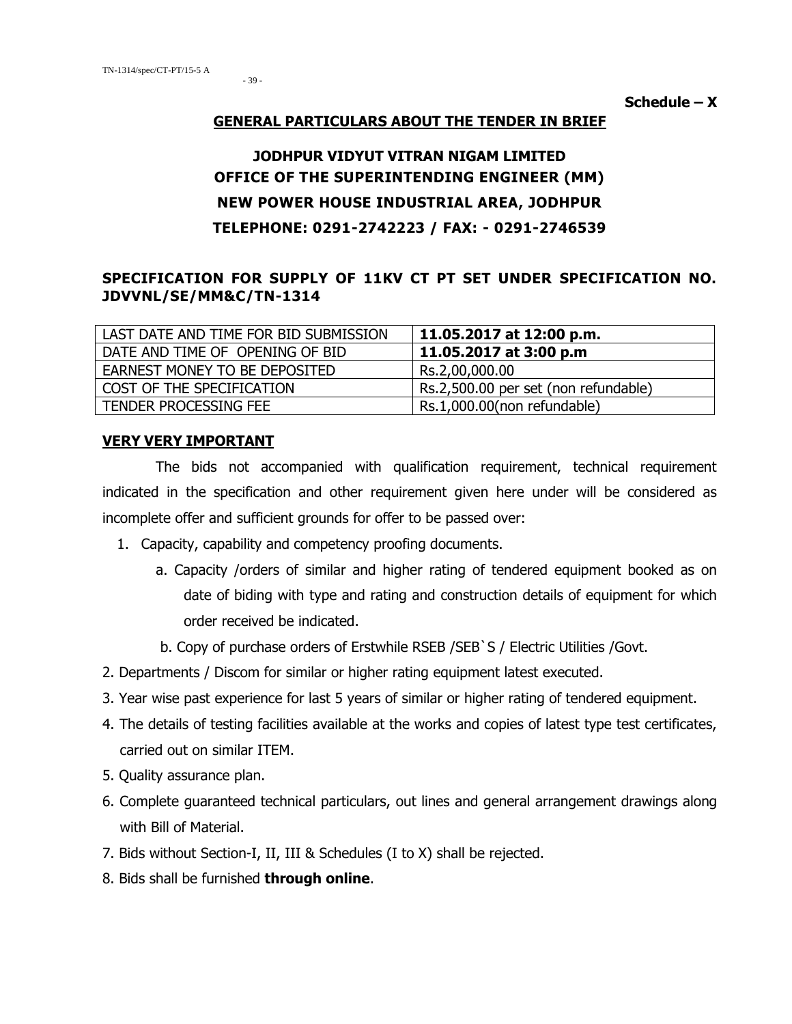- 39 -

 $S$ chedule  $- X$ 

#### **GENERAL PARTICULARS ABOUT THE TENDER IN BRIEF**

## **JODHPUR VIDYUT VITRAN NIGAM LIMITED OFFICE OF THE SUPERINTENDING ENGINEER (MM) NEW POWER HOUSE INDUSTRIAL AREA, JODHPUR TELEPHONE: 0291-2742223 / FAX: - 0291-2746539**

#### **SPECIFICATION FOR SUPPLY OF 11KV CT PT SET UNDER SPECIFICATION NO. JDVVNL/SE/MM&C/TN-1314**

| LAST DATE AND TIME FOR BID SUBMISSION | 11.05.2017 at 12:00 p.m.             |
|---------------------------------------|--------------------------------------|
| DATE AND TIME OF OPENING OF BID       | 11.05.2017 at 3:00 p.m               |
| EARNEST MONEY TO BE DEPOSITED         | Rs.2,00,000.00                       |
| COST OF THE SPECIFICATION             | Rs.2,500.00 per set (non refundable) |
| TENDER PROCESSING FEE                 | Rs.1,000.00(non refundable)          |

#### **VERY VERY IMPORTANT**

 The bids not accompanied with qualification requirement, technical requirement indicated in the specification and other requirement given here under will be considered as incomplete offer and sufficient grounds for offer to be passed over:

- 1. Capacity, capability and competency proofing documents.
	- a. Capacity /orders of similar and higher rating of tendered equipment booked as on date of biding with type and rating and construction details of equipment for which order received be indicated.
	- b. Copy of purchase orders of Erstwhile RSEB /SEB`S / Electric Utilities /Govt.
- 2. Departments / Discom for similar or higher rating equipment latest executed.
- 3. Year wise past experience for last 5 years of similar or higher rating of tendered equipment.
- 4. The details of testing facilities available at the works and copies of latest type test certificates, carried out on similar ITEM.
- 5. Quality assurance plan.
- 6. Complete guaranteed technical particulars, out lines and general arrangement drawings along with Bill of Material.
- 7. Bids without Section-I, II, III & Schedules (I to X) shall be rejected.
- 8. Bids shall be furnished **through online**.